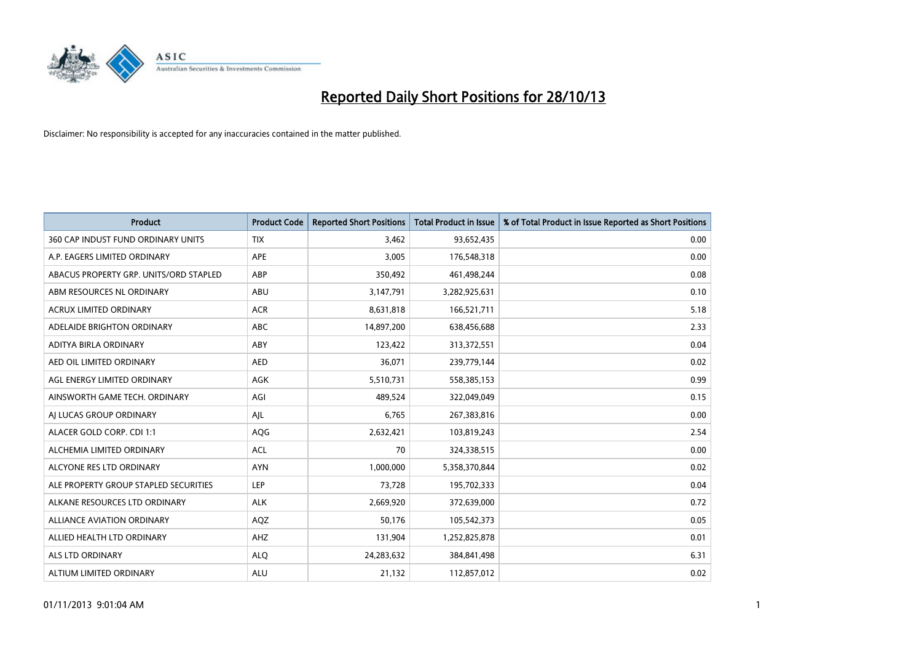

| <b>Product</b>                         | <b>Product Code</b> | <b>Reported Short Positions</b> | Total Product in Issue | % of Total Product in Issue Reported as Short Positions |
|----------------------------------------|---------------------|---------------------------------|------------------------|---------------------------------------------------------|
| 360 CAP INDUST FUND ORDINARY UNITS     | <b>TIX</b>          | 3,462                           | 93,652,435             | 0.00                                                    |
| A.P. EAGERS LIMITED ORDINARY           | <b>APE</b>          | 3,005                           | 176,548,318            | 0.00                                                    |
| ABACUS PROPERTY GRP. UNITS/ORD STAPLED | ABP                 | 350,492                         | 461,498,244            | 0.08                                                    |
| ABM RESOURCES NL ORDINARY              | ABU                 | 3,147,791                       | 3,282,925,631          | 0.10                                                    |
| <b>ACRUX LIMITED ORDINARY</b>          | <b>ACR</b>          | 8,631,818                       | 166,521,711            | 5.18                                                    |
| ADELAIDE BRIGHTON ORDINARY             | <b>ABC</b>          | 14,897,200                      | 638,456,688            | 2.33                                                    |
| ADITYA BIRLA ORDINARY                  | ABY                 | 123,422                         | 313,372,551            | 0.04                                                    |
| AED OIL LIMITED ORDINARY               | <b>AED</b>          | 36,071                          | 239,779,144            | 0.02                                                    |
| AGL ENERGY LIMITED ORDINARY            | AGK                 | 5,510,731                       | 558,385,153            | 0.99                                                    |
| AINSWORTH GAME TECH. ORDINARY          | AGI                 | 489,524                         | 322,049,049            | 0.15                                                    |
| AJ LUCAS GROUP ORDINARY                | AJL                 | 6,765                           | 267,383,816            | 0.00                                                    |
| ALACER GOLD CORP. CDI 1:1              | AQG                 | 2,632,421                       | 103,819,243            | 2.54                                                    |
| ALCHEMIA LIMITED ORDINARY              | <b>ACL</b>          | 70                              | 324,338,515            | 0.00                                                    |
| ALCYONE RES LTD ORDINARY               | <b>AYN</b>          | 1,000,000                       | 5,358,370,844          | 0.02                                                    |
| ALE PROPERTY GROUP STAPLED SECURITIES  | LEP                 | 73,728                          | 195,702,333            | 0.04                                                    |
| ALKANE RESOURCES LTD ORDINARY          | <b>ALK</b>          | 2,669,920                       | 372,639,000            | 0.72                                                    |
| ALLIANCE AVIATION ORDINARY             | AQZ                 | 50,176                          | 105,542,373            | 0.05                                                    |
| ALLIED HEALTH LTD ORDINARY             | <b>AHZ</b>          | 131,904                         | 1,252,825,878          | 0.01                                                    |
| ALS LTD ORDINARY                       | <b>ALQ</b>          | 24,283,632                      | 384,841,498            | 6.31                                                    |
| ALTIUM LIMITED ORDINARY                | <b>ALU</b>          | 21,132                          | 112,857,012            | 0.02                                                    |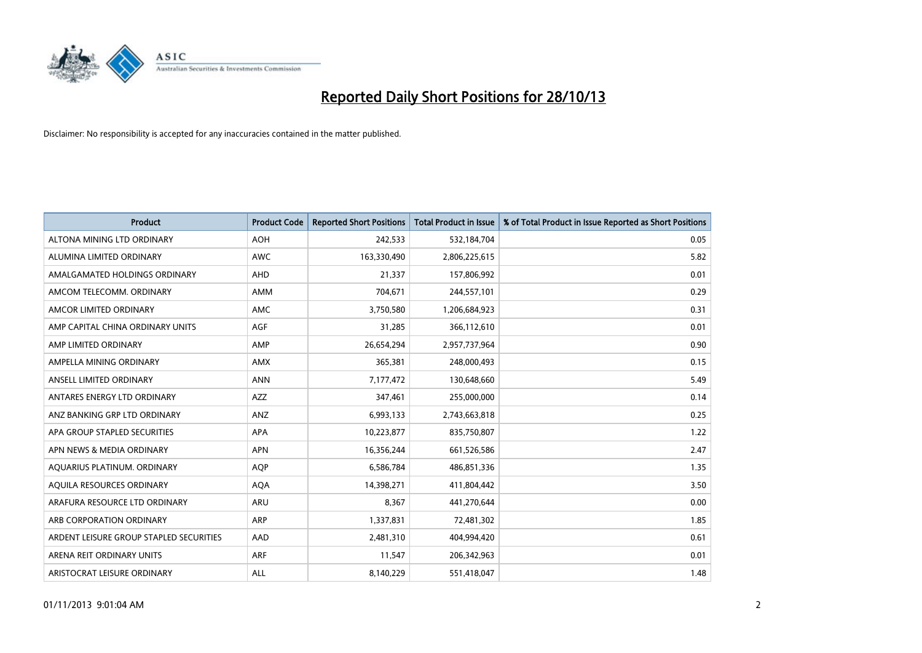

| <b>Product</b>                          | <b>Product Code</b> | <b>Reported Short Positions</b> | <b>Total Product in Issue</b> | % of Total Product in Issue Reported as Short Positions |
|-----------------------------------------|---------------------|---------------------------------|-------------------------------|---------------------------------------------------------|
| ALTONA MINING LTD ORDINARY              | <b>AOH</b>          | 242,533                         | 532,184,704                   | 0.05                                                    |
| ALUMINA LIMITED ORDINARY                | AWC                 | 163,330,490                     | 2,806,225,615                 | 5.82                                                    |
| AMALGAMATED HOLDINGS ORDINARY           | <b>AHD</b>          | 21,337                          | 157,806,992                   | 0.01                                                    |
| AMCOM TELECOMM. ORDINARY                | <b>AMM</b>          | 704,671                         | 244,557,101                   | 0.29                                                    |
| AMCOR LIMITED ORDINARY                  | AMC                 | 3,750,580                       | 1,206,684,923                 | 0.31                                                    |
| AMP CAPITAL CHINA ORDINARY UNITS        | <b>AGF</b>          | 31,285                          | 366,112,610                   | 0.01                                                    |
| AMP LIMITED ORDINARY                    | AMP                 | 26,654,294                      | 2,957,737,964                 | 0.90                                                    |
| AMPELLA MINING ORDINARY                 | AMX                 | 365,381                         | 248,000,493                   | 0.15                                                    |
| ANSELL LIMITED ORDINARY                 | <b>ANN</b>          | 7,177,472                       | 130,648,660                   | 5.49                                                    |
| ANTARES ENERGY LTD ORDINARY             | <b>AZZ</b>          | 347,461                         | 255,000,000                   | 0.14                                                    |
| ANZ BANKING GRP LTD ORDINARY            | ANZ                 | 6,993,133                       | 2,743,663,818                 | 0.25                                                    |
| APA GROUP STAPLED SECURITIES            | APA                 | 10,223,877                      | 835,750,807                   | 1.22                                                    |
| APN NEWS & MEDIA ORDINARY               | <b>APN</b>          | 16,356,244                      | 661,526,586                   | 2.47                                                    |
| AQUARIUS PLATINUM. ORDINARY             | <b>AOP</b>          | 6,586,784                       | 486,851,336                   | 1.35                                                    |
| AQUILA RESOURCES ORDINARY               | <b>AQA</b>          | 14,398,271                      | 411,804,442                   | 3.50                                                    |
| ARAFURA RESOURCE LTD ORDINARY           | <b>ARU</b>          | 8,367                           | 441,270,644                   | 0.00                                                    |
| ARB CORPORATION ORDINARY                | <b>ARP</b>          | 1,337,831                       | 72,481,302                    | 1.85                                                    |
| ARDENT LEISURE GROUP STAPLED SECURITIES | AAD                 | 2,481,310                       | 404,994,420                   | 0.61                                                    |
| ARENA REIT ORDINARY UNITS               | <b>ARF</b>          | 11,547                          | 206,342,963                   | 0.01                                                    |
| ARISTOCRAT LEISURE ORDINARY             | ALL                 | 8,140,229                       | 551,418,047                   | 1.48                                                    |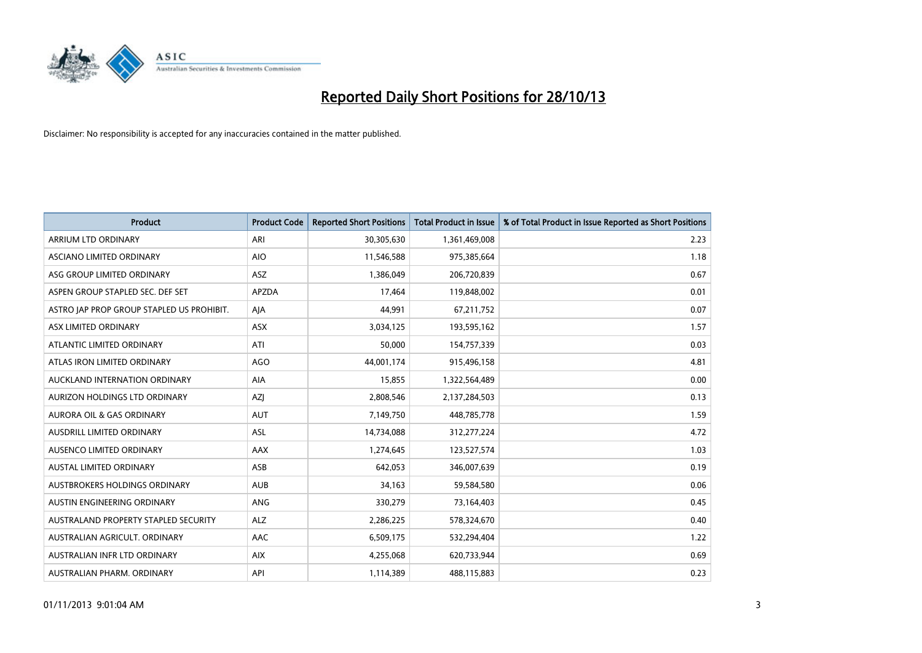

| <b>Product</b>                            | <b>Product Code</b> | <b>Reported Short Positions</b> | <b>Total Product in Issue</b> | % of Total Product in Issue Reported as Short Positions |
|-------------------------------------------|---------------------|---------------------------------|-------------------------------|---------------------------------------------------------|
| ARRIUM LTD ORDINARY                       | ARI                 | 30,305,630                      | 1,361,469,008                 | 2.23                                                    |
| ASCIANO LIMITED ORDINARY                  | <b>AIO</b>          | 11,546,588                      | 975,385,664                   | 1.18                                                    |
| ASG GROUP LIMITED ORDINARY                | ASZ.                | 1,386,049                       | 206,720,839                   | 0.67                                                    |
| ASPEN GROUP STAPLED SEC. DEF SET          | APZDA               | 17,464                          | 119,848,002                   | 0.01                                                    |
| ASTRO JAP PROP GROUP STAPLED US PROHIBIT. | AJA                 | 44,991                          | 67,211,752                    | 0.07                                                    |
| ASX LIMITED ORDINARY                      | <b>ASX</b>          | 3,034,125                       | 193,595,162                   | 1.57                                                    |
| ATLANTIC LIMITED ORDINARY                 | ATI                 | 50,000                          | 154,757,339                   | 0.03                                                    |
| ATLAS IRON LIMITED ORDINARY               | <b>AGO</b>          | 44,001,174                      | 915,496,158                   | 4.81                                                    |
| AUCKLAND INTERNATION ORDINARY             | AIA                 | 15,855                          | 1,322,564,489                 | 0.00                                                    |
| AURIZON HOLDINGS LTD ORDINARY             | AZJ                 | 2,808,546                       | 2,137,284,503                 | 0.13                                                    |
| <b>AURORA OIL &amp; GAS ORDINARY</b>      | <b>AUT</b>          | 7,149,750                       | 448,785,778                   | 1.59                                                    |
| AUSDRILL LIMITED ORDINARY                 | ASL                 | 14,734,088                      | 312,277,224                   | 4.72                                                    |
| AUSENCO LIMITED ORDINARY                  | AAX                 | 1,274,645                       | 123,527,574                   | 1.03                                                    |
| <b>AUSTAL LIMITED ORDINARY</b>            | ASB                 | 642,053                         | 346,007,639                   | 0.19                                                    |
| AUSTBROKERS HOLDINGS ORDINARY             | <b>AUB</b>          | 34,163                          | 59,584,580                    | 0.06                                                    |
| AUSTIN ENGINEERING ORDINARY               | ANG                 | 330,279                         | 73,164,403                    | 0.45                                                    |
| AUSTRALAND PROPERTY STAPLED SECURITY      | <b>ALZ</b>          | 2,286,225                       | 578,324,670                   | 0.40                                                    |
| AUSTRALIAN AGRICULT. ORDINARY             | AAC                 | 6,509,175                       | 532,294,404                   | 1.22                                                    |
| AUSTRALIAN INFR LTD ORDINARY              | <b>AIX</b>          | 4,255,068                       | 620,733,944                   | 0.69                                                    |
| AUSTRALIAN PHARM. ORDINARY                | API                 | 1,114,389                       | 488,115,883                   | 0.23                                                    |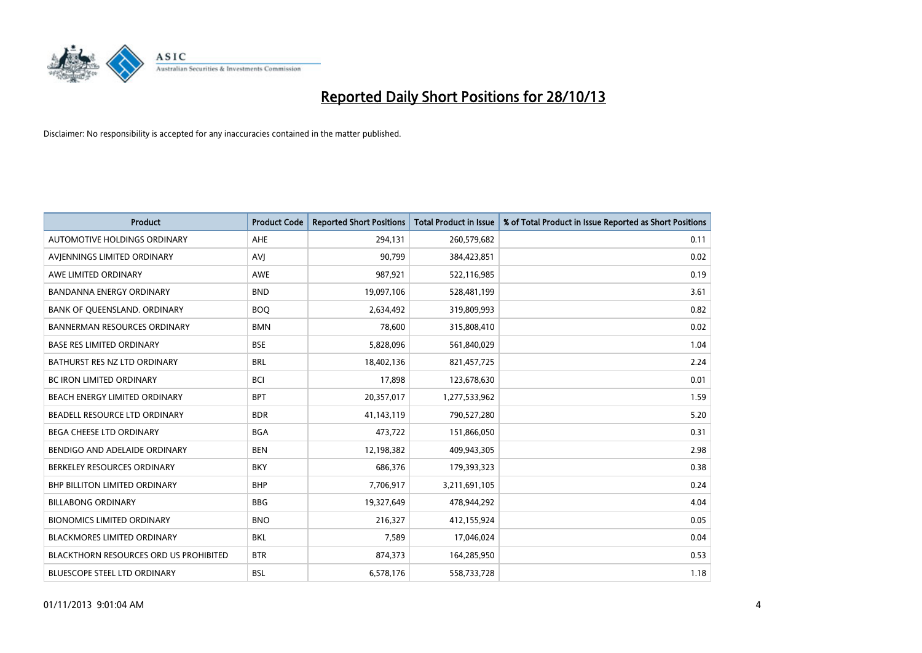

| <b>Product</b>                                | <b>Product Code</b> | <b>Reported Short Positions</b> | <b>Total Product in Issue</b> | % of Total Product in Issue Reported as Short Positions |
|-----------------------------------------------|---------------------|---------------------------------|-------------------------------|---------------------------------------------------------|
| AUTOMOTIVE HOLDINGS ORDINARY                  | <b>AHE</b>          | 294,131                         | 260,579,682                   | 0.11                                                    |
| AVIENNINGS LIMITED ORDINARY                   | <b>AVI</b>          | 90,799                          | 384,423,851                   | 0.02                                                    |
| AWE LIMITED ORDINARY                          | <b>AWE</b>          | 987.921                         | 522,116,985                   | 0.19                                                    |
| <b>BANDANNA ENERGY ORDINARY</b>               | <b>BND</b>          | 19,097,106                      | 528,481,199                   | 3.61                                                    |
| BANK OF QUEENSLAND. ORDINARY                  | <b>BOQ</b>          | 2,634,492                       | 319,809,993                   | 0.82                                                    |
| <b>BANNERMAN RESOURCES ORDINARY</b>           | <b>BMN</b>          | 78,600                          | 315,808,410                   | 0.02                                                    |
| <b>BASE RES LIMITED ORDINARY</b>              | <b>BSE</b>          | 5,828,096                       | 561,840,029                   | 1.04                                                    |
| BATHURST RES NZ LTD ORDINARY                  | <b>BRL</b>          | 18,402,136                      | 821,457,725                   | 2.24                                                    |
| BC IRON LIMITED ORDINARY                      | <b>BCI</b>          | 17,898                          | 123,678,630                   | 0.01                                                    |
| BEACH ENERGY LIMITED ORDINARY                 | <b>BPT</b>          | 20,357,017                      | 1,277,533,962                 | 1.59                                                    |
| BEADELL RESOURCE LTD ORDINARY                 | <b>BDR</b>          | 41,143,119                      | 790,527,280                   | 5.20                                                    |
| BEGA CHEESE LTD ORDINARY                      | <b>BGA</b>          | 473,722                         | 151,866,050                   | 0.31                                                    |
| BENDIGO AND ADELAIDE ORDINARY                 | <b>BEN</b>          | 12,198,382                      | 409,943,305                   | 2.98                                                    |
| BERKELEY RESOURCES ORDINARY                   | <b>BKY</b>          | 686,376                         | 179,393,323                   | 0.38                                                    |
| <b>BHP BILLITON LIMITED ORDINARY</b>          | <b>BHP</b>          | 7,706,917                       | 3,211,691,105                 | 0.24                                                    |
| <b>BILLABONG ORDINARY</b>                     | <b>BBG</b>          | 19,327,649                      | 478,944,292                   | 4.04                                                    |
| <b>BIONOMICS LIMITED ORDINARY</b>             | <b>BNO</b>          | 216,327                         | 412,155,924                   | 0.05                                                    |
| <b>BLACKMORES LIMITED ORDINARY</b>            | <b>BKL</b>          | 7,589                           | 17,046,024                    | 0.04                                                    |
| <b>BLACKTHORN RESOURCES ORD US PROHIBITED</b> | <b>BTR</b>          | 874,373                         | 164,285,950                   | 0.53                                                    |
| BLUESCOPE STEEL LTD ORDINARY                  | <b>BSL</b>          | 6,578,176                       | 558,733,728                   | 1.18                                                    |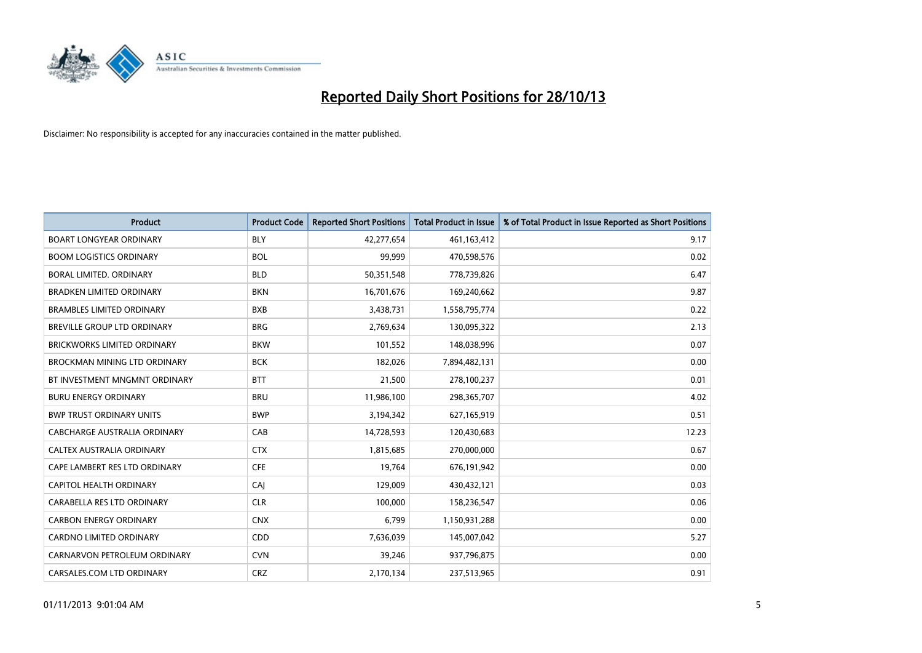

| <b>Product</b>                     | <b>Product Code</b> | <b>Reported Short Positions</b> | Total Product in Issue | % of Total Product in Issue Reported as Short Positions |
|------------------------------------|---------------------|---------------------------------|------------------------|---------------------------------------------------------|
| <b>BOART LONGYEAR ORDINARY</b>     | <b>BLY</b>          | 42,277,654                      | 461,163,412            | 9.17                                                    |
| <b>BOOM LOGISTICS ORDINARY</b>     | <b>BOL</b>          | 99,999                          | 470,598,576            | 0.02                                                    |
| <b>BORAL LIMITED, ORDINARY</b>     | <b>BLD</b>          | 50,351,548                      | 778,739,826            | 6.47                                                    |
| <b>BRADKEN LIMITED ORDINARY</b>    | <b>BKN</b>          | 16,701,676                      | 169,240,662            | 9.87                                                    |
| <b>BRAMBLES LIMITED ORDINARY</b>   | <b>BXB</b>          | 3,438,731                       | 1,558,795,774          | 0.22                                                    |
| BREVILLE GROUP LTD ORDINARY        | <b>BRG</b>          | 2,769,634                       | 130,095,322            | 2.13                                                    |
| <b>BRICKWORKS LIMITED ORDINARY</b> | <b>BKW</b>          | 101,552                         | 148,038,996            | 0.07                                                    |
| BROCKMAN MINING LTD ORDINARY       | <b>BCK</b>          | 182,026                         | 7,894,482,131          | 0.00                                                    |
| BT INVESTMENT MNGMNT ORDINARY      | <b>BTT</b>          | 21,500                          | 278,100,237            | 0.01                                                    |
| <b>BURU ENERGY ORDINARY</b>        | <b>BRU</b>          | 11,986,100                      | 298,365,707            | 4.02                                                    |
| <b>BWP TRUST ORDINARY UNITS</b>    | <b>BWP</b>          | 3,194,342                       | 627,165,919            | 0.51                                                    |
| CABCHARGE AUSTRALIA ORDINARY       | CAB                 | 14,728,593                      | 120,430,683            | 12.23                                                   |
| CALTEX AUSTRALIA ORDINARY          | <b>CTX</b>          | 1,815,685                       | 270,000,000            | 0.67                                                    |
| CAPE LAMBERT RES LTD ORDINARY      | <b>CFE</b>          | 19,764                          | 676,191,942            | 0.00                                                    |
| CAPITOL HEALTH ORDINARY            | CAJ                 | 129,009                         | 430,432,121            | 0.03                                                    |
| CARABELLA RES LTD ORDINARY         | <b>CLR</b>          | 100,000                         | 158,236,547            | 0.06                                                    |
| <b>CARBON ENERGY ORDINARY</b>      | <b>CNX</b>          | 6,799                           | 1,150,931,288          | 0.00                                                    |
| <b>CARDNO LIMITED ORDINARY</b>     | CDD                 | 7,636,039                       | 145,007,042            | 5.27                                                    |
| CARNARVON PETROLEUM ORDINARY       | <b>CVN</b>          | 39,246                          | 937,796,875            | 0.00                                                    |
| CARSALES.COM LTD ORDINARY          | <b>CRZ</b>          | 2,170,134                       | 237,513,965            | 0.91                                                    |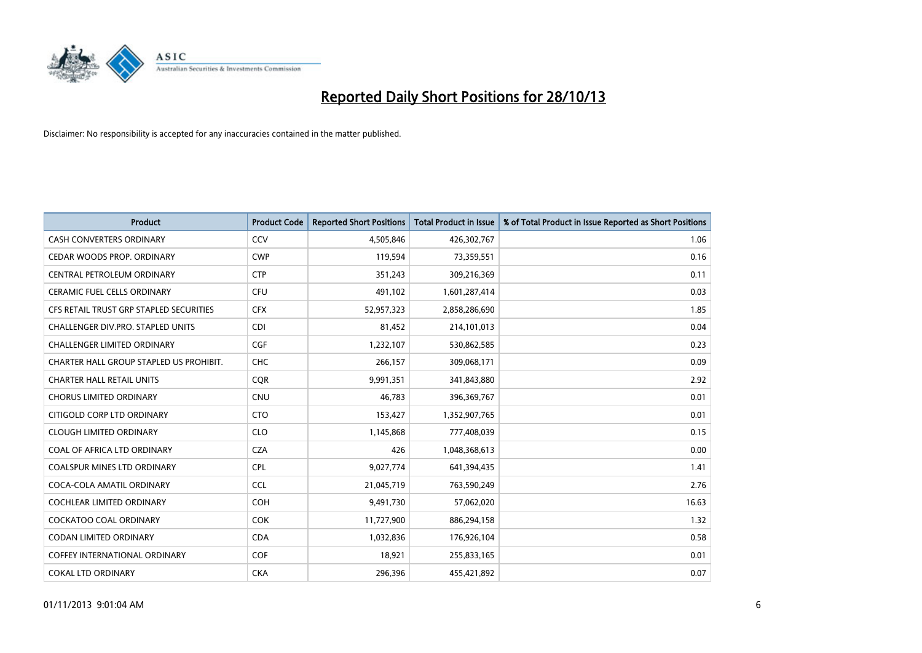

| <b>Product</b>                          | <b>Product Code</b> | <b>Reported Short Positions</b> | Total Product in Issue | % of Total Product in Issue Reported as Short Positions |
|-----------------------------------------|---------------------|---------------------------------|------------------------|---------------------------------------------------------|
| <b>CASH CONVERTERS ORDINARY</b>         | CCV                 | 4,505,846                       | 426,302,767            | 1.06                                                    |
| CEDAR WOODS PROP. ORDINARY              | <b>CWP</b>          | 119,594                         | 73,359,551             | 0.16                                                    |
| CENTRAL PETROLEUM ORDINARY              | <b>CTP</b>          | 351,243                         | 309,216,369            | 0.11                                                    |
| <b>CERAMIC FUEL CELLS ORDINARY</b>      | <b>CFU</b>          | 491,102                         | 1,601,287,414          | 0.03                                                    |
| CFS RETAIL TRUST GRP STAPLED SECURITIES | <b>CFX</b>          | 52,957,323                      | 2,858,286,690          | 1.85                                                    |
| CHALLENGER DIV.PRO. STAPLED UNITS       | <b>CDI</b>          | 81,452                          | 214,101,013            | 0.04                                                    |
| <b>CHALLENGER LIMITED ORDINARY</b>      | <b>CGF</b>          | 1,232,107                       | 530,862,585            | 0.23                                                    |
| CHARTER HALL GROUP STAPLED US PROHIBIT. | <b>CHC</b>          | 266,157                         | 309,068,171            | 0.09                                                    |
| <b>CHARTER HALL RETAIL UNITS</b>        | <b>CQR</b>          | 9,991,351                       | 341,843,880            | 2.92                                                    |
| <b>CHORUS LIMITED ORDINARY</b>          | <b>CNU</b>          | 46,783                          | 396,369,767            | 0.01                                                    |
| CITIGOLD CORP LTD ORDINARY              | <b>CTO</b>          | 153,427                         | 1,352,907,765          | 0.01                                                    |
| <b>CLOUGH LIMITED ORDINARY</b>          | <b>CLO</b>          | 1,145,868                       | 777,408,039            | 0.15                                                    |
| COAL OF AFRICA LTD ORDINARY             | <b>CZA</b>          | 426                             | 1,048,368,613          | 0.00                                                    |
| <b>COALSPUR MINES LTD ORDINARY</b>      | <b>CPL</b>          | 9,027,774                       | 641,394,435            | 1.41                                                    |
| COCA-COLA AMATIL ORDINARY               | <b>CCL</b>          | 21,045,719                      | 763,590,249            | 2.76                                                    |
| <b>COCHLEAR LIMITED ORDINARY</b>        | <b>COH</b>          | 9,491,730                       | 57,062,020             | 16.63                                                   |
| <b>COCKATOO COAL ORDINARY</b>           | <b>COK</b>          | 11,727,900                      | 886,294,158            | 1.32                                                    |
| <b>CODAN LIMITED ORDINARY</b>           | <b>CDA</b>          | 1,032,836                       | 176,926,104            | 0.58                                                    |
| <b>COFFEY INTERNATIONAL ORDINARY</b>    | COF                 | 18,921                          | 255,833,165            | 0.01                                                    |
| <b>COKAL LTD ORDINARY</b>               | <b>CKA</b>          | 296,396                         | 455,421,892            | 0.07                                                    |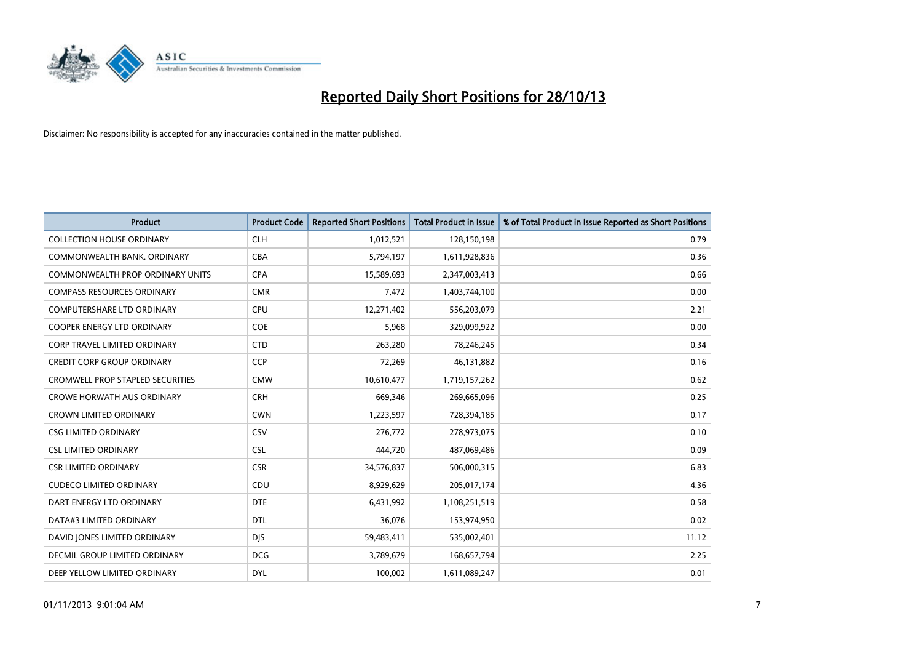

| <b>Product</b>                          | <b>Product Code</b> | <b>Reported Short Positions</b> | <b>Total Product in Issue</b> | % of Total Product in Issue Reported as Short Positions |
|-----------------------------------------|---------------------|---------------------------------|-------------------------------|---------------------------------------------------------|
| <b>COLLECTION HOUSE ORDINARY</b>        | <b>CLH</b>          | 1,012,521                       | 128,150,198                   | 0.79                                                    |
| COMMONWEALTH BANK, ORDINARY             | <b>CBA</b>          | 5,794,197                       | 1,611,928,836                 | 0.36                                                    |
| <b>COMMONWEALTH PROP ORDINARY UNITS</b> | <b>CPA</b>          | 15,589,693                      | 2,347,003,413                 | 0.66                                                    |
| <b>COMPASS RESOURCES ORDINARY</b>       | <b>CMR</b>          | 7,472                           | 1,403,744,100                 | 0.00                                                    |
| <b>COMPUTERSHARE LTD ORDINARY</b>       | <b>CPU</b>          | 12,271,402                      | 556,203,079                   | 2.21                                                    |
| <b>COOPER ENERGY LTD ORDINARY</b>       | <b>COE</b>          | 5,968                           | 329,099,922                   | 0.00                                                    |
| <b>CORP TRAVEL LIMITED ORDINARY</b>     | <b>CTD</b>          | 263,280                         | 78,246,245                    | 0.34                                                    |
| CREDIT CORP GROUP ORDINARY              | <b>CCP</b>          | 72,269                          | 46,131,882                    | 0.16                                                    |
| CROMWELL PROP STAPLED SECURITIES        | <b>CMW</b>          | 10,610,477                      | 1,719,157,262                 | 0.62                                                    |
| <b>CROWE HORWATH AUS ORDINARY</b>       | <b>CRH</b>          | 669,346                         | 269,665,096                   | 0.25                                                    |
| <b>CROWN LIMITED ORDINARY</b>           | <b>CWN</b>          | 1,223,597                       | 728,394,185                   | 0.17                                                    |
| <b>CSG LIMITED ORDINARY</b>             | CSV                 | 276,772                         | 278,973,075                   | 0.10                                                    |
| <b>CSL LIMITED ORDINARY</b>             | <b>CSL</b>          | 444.720                         | 487,069,486                   | 0.09                                                    |
| <b>CSR LIMITED ORDINARY</b>             | <b>CSR</b>          | 34,576,837                      | 506,000,315                   | 6.83                                                    |
| <b>CUDECO LIMITED ORDINARY</b>          | CDU                 | 8,929,629                       | 205,017,174                   | 4.36                                                    |
| DART ENERGY LTD ORDINARY                | <b>DTE</b>          | 6,431,992                       | 1,108,251,519                 | 0.58                                                    |
| DATA#3 LIMITED ORDINARY                 | <b>DTL</b>          | 36,076                          | 153,974,950                   | 0.02                                                    |
| DAVID JONES LIMITED ORDINARY            | <b>DJS</b>          | 59,483,411                      | 535,002,401                   | 11.12                                                   |
| DECMIL GROUP LIMITED ORDINARY           | <b>DCG</b>          | 3,789,679                       | 168,657,794                   | 2.25                                                    |
| DEEP YELLOW LIMITED ORDINARY            | <b>DYL</b>          | 100,002                         | 1,611,089,247                 | 0.01                                                    |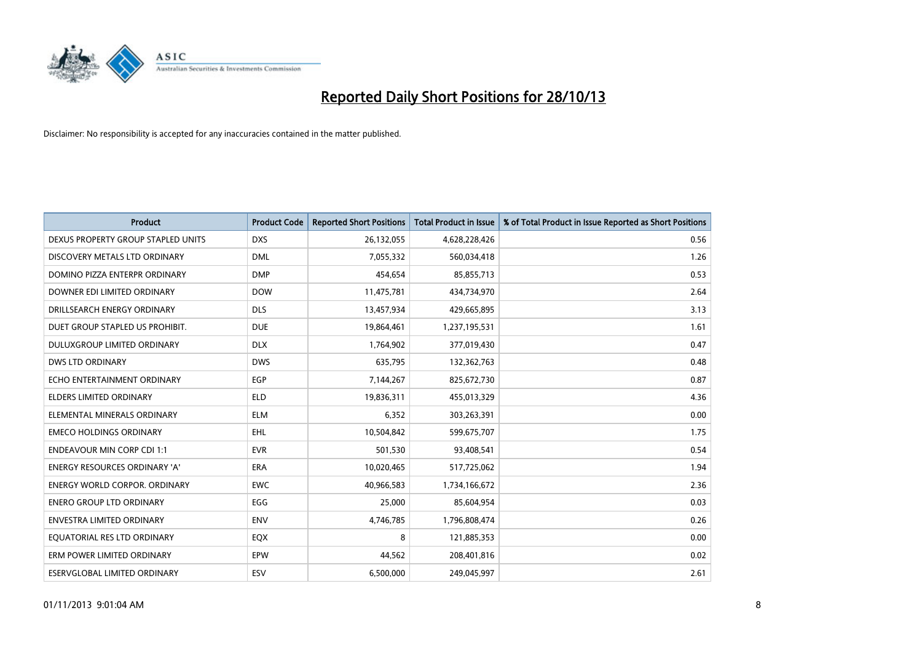

| <b>Product</b>                       | <b>Product Code</b> | <b>Reported Short Positions</b> | <b>Total Product in Issue</b> | % of Total Product in Issue Reported as Short Positions |
|--------------------------------------|---------------------|---------------------------------|-------------------------------|---------------------------------------------------------|
| DEXUS PROPERTY GROUP STAPLED UNITS   | <b>DXS</b>          | 26,132,055                      | 4,628,228,426                 | 0.56                                                    |
| DISCOVERY METALS LTD ORDINARY        | <b>DML</b>          | 7,055,332                       | 560,034,418                   | 1.26                                                    |
| DOMINO PIZZA ENTERPR ORDINARY        | <b>DMP</b>          | 454,654                         | 85,855,713                    | 0.53                                                    |
| DOWNER EDI LIMITED ORDINARY          | <b>DOW</b>          | 11,475,781                      | 434,734,970                   | 2.64                                                    |
| DRILLSEARCH ENERGY ORDINARY          | <b>DLS</b>          | 13,457,934                      | 429,665,895                   | 3.13                                                    |
| DUET GROUP STAPLED US PROHIBIT.      | <b>DUE</b>          | 19,864,461                      | 1,237,195,531                 | 1.61                                                    |
| <b>DULUXGROUP LIMITED ORDINARY</b>   | <b>DLX</b>          | 1,764,902                       | 377,019,430                   | 0.47                                                    |
| <b>DWS LTD ORDINARY</b>              | <b>DWS</b>          | 635,795                         | 132,362,763                   | 0.48                                                    |
| ECHO ENTERTAINMENT ORDINARY          | <b>EGP</b>          | 7,144,267                       | 825,672,730                   | 0.87                                                    |
| ELDERS LIMITED ORDINARY              | <b>ELD</b>          | 19,836,311                      | 455,013,329                   | 4.36                                                    |
| ELEMENTAL MINERALS ORDINARY          | <b>ELM</b>          | 6,352                           | 303,263,391                   | 0.00                                                    |
| <b>EMECO HOLDINGS ORDINARY</b>       | EHL.                | 10,504,842                      | 599,675,707                   | 1.75                                                    |
| <b>ENDEAVOUR MIN CORP CDI 1:1</b>    | <b>EVR</b>          | 501,530                         | 93,408,541                    | 0.54                                                    |
| <b>ENERGY RESOURCES ORDINARY 'A'</b> | <b>ERA</b>          | 10,020,465                      | 517,725,062                   | 1.94                                                    |
| <b>ENERGY WORLD CORPOR. ORDINARY</b> | <b>EWC</b>          | 40,966,583                      | 1,734,166,672                 | 2.36                                                    |
| <b>ENERO GROUP LTD ORDINARY</b>      | EGG                 | 25,000                          | 85,604,954                    | 0.03                                                    |
| <b>ENVESTRA LIMITED ORDINARY</b>     | <b>ENV</b>          | 4,746,785                       | 1,796,808,474                 | 0.26                                                    |
| EQUATORIAL RES LTD ORDINARY          | EQX                 | 8                               | 121,885,353                   | 0.00                                                    |
| ERM POWER LIMITED ORDINARY           | EPW                 | 44,562                          | 208,401,816                   | 0.02                                                    |
| ESERVGLOBAL LIMITED ORDINARY         | <b>ESV</b>          | 6,500,000                       | 249,045,997                   | 2.61                                                    |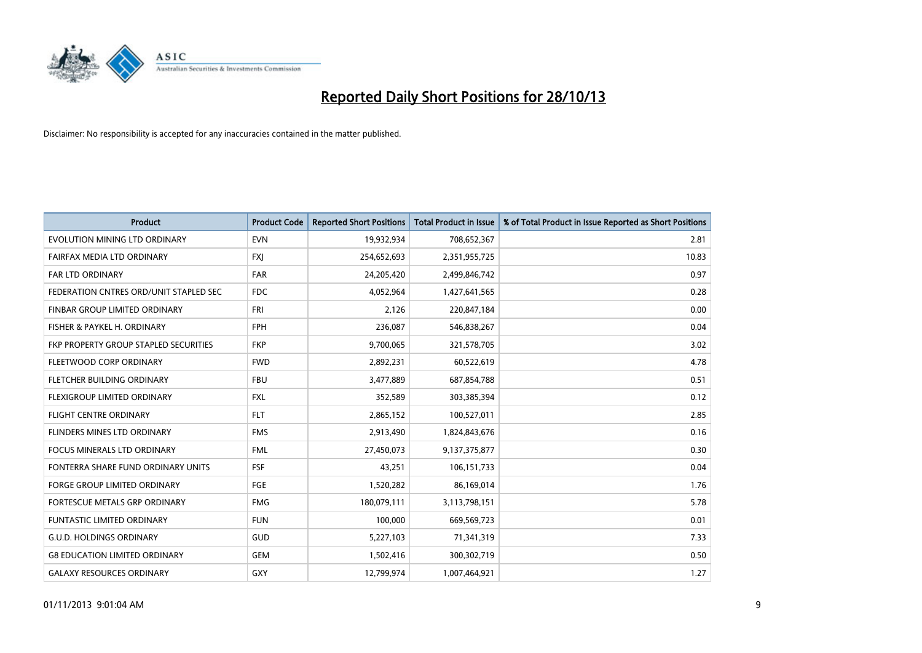

| <b>Product</b>                         | <b>Product Code</b> | <b>Reported Short Positions</b> | <b>Total Product in Issue</b> | % of Total Product in Issue Reported as Short Positions |
|----------------------------------------|---------------------|---------------------------------|-------------------------------|---------------------------------------------------------|
| EVOLUTION MINING LTD ORDINARY          | <b>EVN</b>          | 19,932,934                      | 708,652,367                   | 2.81                                                    |
| FAIRFAX MEDIA LTD ORDINARY             | <b>FXJ</b>          | 254,652,693                     | 2,351,955,725                 | 10.83                                                   |
| <b>FAR LTD ORDINARY</b>                | <b>FAR</b>          | 24,205,420                      | 2,499,846,742                 | 0.97                                                    |
| FEDERATION CNTRES ORD/UNIT STAPLED SEC | <b>FDC</b>          | 4,052,964                       | 1,427,641,565                 | 0.28                                                    |
| FINBAR GROUP LIMITED ORDINARY          | <b>FRI</b>          | 2,126                           | 220,847,184                   | 0.00                                                    |
| FISHER & PAYKEL H. ORDINARY            | <b>FPH</b>          | 236,087                         | 546,838,267                   | 0.04                                                    |
| FKP PROPERTY GROUP STAPLED SECURITIES  | <b>FKP</b>          | 9,700,065                       | 321,578,705                   | 3.02                                                    |
| FLEETWOOD CORP ORDINARY                | <b>FWD</b>          | 2,892,231                       | 60,522,619                    | 4.78                                                    |
| FLETCHER BUILDING ORDINARY             | <b>FBU</b>          | 3,477,889                       | 687,854,788                   | 0.51                                                    |
| FLEXIGROUP LIMITED ORDINARY            | <b>FXL</b>          | 352,589                         | 303,385,394                   | 0.12                                                    |
| <b>FLIGHT CENTRE ORDINARY</b>          | <b>FLT</b>          | 2,865,152                       | 100,527,011                   | 2.85                                                    |
| FLINDERS MINES LTD ORDINARY            | <b>FMS</b>          | 2,913,490                       | 1,824,843,676                 | 0.16                                                    |
| <b>FOCUS MINERALS LTD ORDINARY</b>     | <b>FML</b>          | 27,450,073                      | 9,137,375,877                 | 0.30                                                    |
| FONTERRA SHARE FUND ORDINARY UNITS     | <b>FSF</b>          | 43,251                          | 106,151,733                   | 0.04                                                    |
| <b>FORGE GROUP LIMITED ORDINARY</b>    | <b>FGE</b>          | 1,520,282                       | 86,169,014                    | 1.76                                                    |
| FORTESCUE METALS GRP ORDINARY          | <b>FMG</b>          | 180,079,111                     | 3,113,798,151                 | 5.78                                                    |
| FUNTASTIC LIMITED ORDINARY             | <b>FUN</b>          | 100,000                         | 669,569,723                   | 0.01                                                    |
| <b>G.U.D. HOLDINGS ORDINARY</b>        | GUD                 | 5,227,103                       | 71,341,319                    | 7.33                                                    |
| <b>G8 EDUCATION LIMITED ORDINARY</b>   | <b>GEM</b>          | 1,502,416                       | 300,302,719                   | 0.50                                                    |
| <b>GALAXY RESOURCES ORDINARY</b>       | <b>GXY</b>          | 12,799,974                      | 1,007,464,921                 | 1.27                                                    |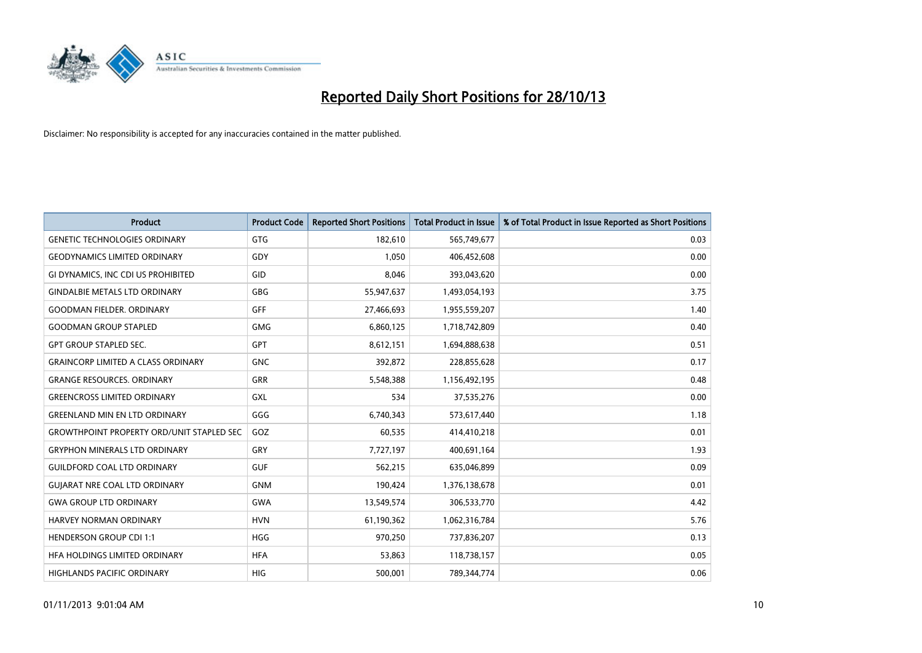

| Product                                          | <b>Product Code</b> | <b>Reported Short Positions</b> | Total Product in Issue | % of Total Product in Issue Reported as Short Positions |
|--------------------------------------------------|---------------------|---------------------------------|------------------------|---------------------------------------------------------|
| <b>GENETIC TECHNOLOGIES ORDINARY</b>             | <b>GTG</b>          | 182,610                         | 565,749,677            | 0.03                                                    |
| <b>GEODYNAMICS LIMITED ORDINARY</b>              | GDY                 | 1,050                           | 406,452,608            | 0.00                                                    |
| GI DYNAMICS, INC CDI US PROHIBITED               | GID                 | 8,046                           | 393,043,620            | 0.00                                                    |
| <b>GINDALBIE METALS LTD ORDINARY</b>             | <b>GBG</b>          | 55,947,637                      | 1,493,054,193          | 3.75                                                    |
| <b>GOODMAN FIELDER, ORDINARY</b>                 | GFF                 | 27,466,693                      | 1,955,559,207          | 1.40                                                    |
| <b>GOODMAN GROUP STAPLED</b>                     | <b>GMG</b>          | 6,860,125                       | 1,718,742,809          | 0.40                                                    |
| <b>GPT GROUP STAPLED SEC.</b>                    | <b>GPT</b>          | 8,612,151                       | 1,694,888,638          | 0.51                                                    |
| <b>GRAINCORP LIMITED A CLASS ORDINARY</b>        | <b>GNC</b>          | 392,872                         | 228,855,628            | 0.17                                                    |
| <b>GRANGE RESOURCES, ORDINARY</b>                | GRR                 | 5,548,388                       | 1,156,492,195          | 0.48                                                    |
| <b>GREENCROSS LIMITED ORDINARY</b>               | GXL                 | 534                             | 37,535,276             | 0.00                                                    |
| <b>GREENLAND MIN EN LTD ORDINARY</b>             | GGG                 | 6,740,343                       | 573,617,440            | 1.18                                                    |
| <b>GROWTHPOINT PROPERTY ORD/UNIT STAPLED SEC</b> | <b>GOZ</b>          | 60,535                          | 414,410,218            | 0.01                                                    |
| <b>GRYPHON MINERALS LTD ORDINARY</b>             | GRY                 | 7,727,197                       | 400,691,164            | 1.93                                                    |
| <b>GUILDFORD COAL LTD ORDINARY</b>               | <b>GUF</b>          | 562,215                         | 635,046,899            | 0.09                                                    |
| <b>GUIARAT NRE COAL LTD ORDINARY</b>             | <b>GNM</b>          | 190,424                         | 1,376,138,678          | 0.01                                                    |
| <b>GWA GROUP LTD ORDINARY</b>                    | <b>GWA</b>          | 13,549,574                      | 306,533,770            | 4.42                                                    |
| HARVEY NORMAN ORDINARY                           | <b>HVN</b>          | 61,190,362                      | 1,062,316,784          | 5.76                                                    |
| <b>HENDERSON GROUP CDI 1:1</b>                   | <b>HGG</b>          | 970,250                         | 737,836,207            | 0.13                                                    |
| HFA HOLDINGS LIMITED ORDINARY                    | <b>HFA</b>          | 53,863                          | 118,738,157            | 0.05                                                    |
| <b>HIGHLANDS PACIFIC ORDINARY</b>                | <b>HIG</b>          | 500,001                         | 789,344,774            | 0.06                                                    |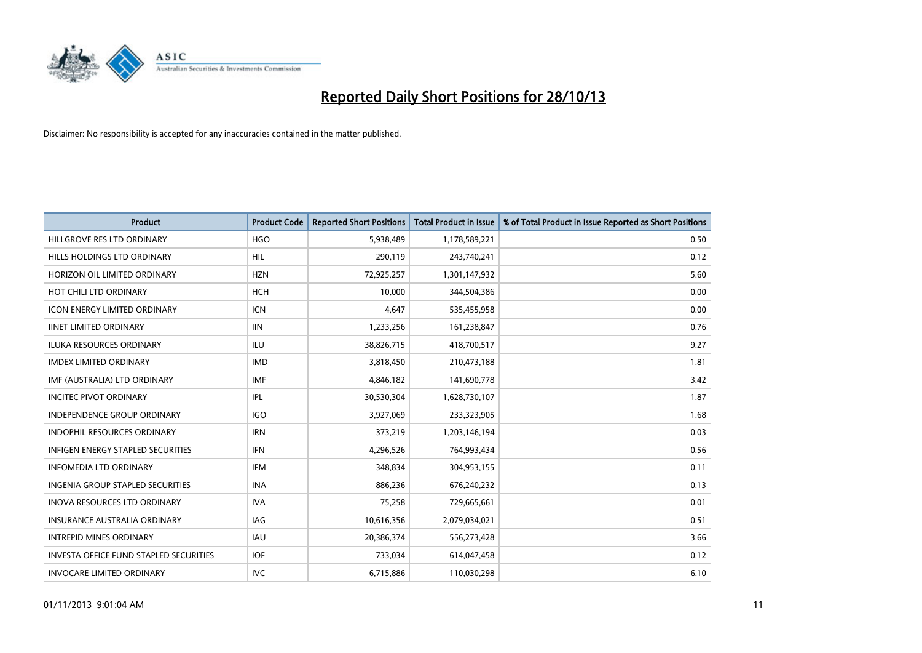

| <b>Product</b>                                | <b>Product Code</b> | <b>Reported Short Positions</b> | <b>Total Product in Issue</b> | % of Total Product in Issue Reported as Short Positions |
|-----------------------------------------------|---------------------|---------------------------------|-------------------------------|---------------------------------------------------------|
| HILLGROVE RES LTD ORDINARY                    | <b>HGO</b>          | 5,938,489                       | 1,178,589,221                 | 0.50                                                    |
| HILLS HOLDINGS LTD ORDINARY                   | HIL                 | 290,119                         | 243,740,241                   | 0.12                                                    |
| HORIZON OIL LIMITED ORDINARY                  | <b>HZN</b>          | 72,925,257                      | 1,301,147,932                 | 5.60                                                    |
| HOT CHILI LTD ORDINARY                        | <b>HCH</b>          | 10,000                          | 344,504,386                   | 0.00                                                    |
| <b>ICON ENERGY LIMITED ORDINARY</b>           | <b>ICN</b>          | 4,647                           | 535,455,958                   | 0.00                                                    |
| <b>IINET LIMITED ORDINARY</b>                 | <b>IIN</b>          | 1,233,256                       | 161,238,847                   | 0.76                                                    |
| <b>ILUKA RESOURCES ORDINARY</b>               | ILU                 | 38,826,715                      | 418,700,517                   | 9.27                                                    |
| <b>IMDEX LIMITED ORDINARY</b>                 | <b>IMD</b>          | 3,818,450                       | 210,473,188                   | 1.81                                                    |
| IMF (AUSTRALIA) LTD ORDINARY                  | <b>IMF</b>          | 4,846,182                       | 141,690,778                   | 3.42                                                    |
| <b>INCITEC PIVOT ORDINARY</b>                 | <b>IPL</b>          | 30,530,304                      | 1,628,730,107                 | 1.87                                                    |
| INDEPENDENCE GROUP ORDINARY                   | <b>IGO</b>          | 3,927,069                       | 233,323,905                   | 1.68                                                    |
| <b>INDOPHIL RESOURCES ORDINARY</b>            | <b>IRN</b>          | 373,219                         | 1,203,146,194                 | 0.03                                                    |
| <b>INFIGEN ENERGY STAPLED SECURITIES</b>      | <b>IFN</b>          | 4,296,526                       | 764,993,434                   | 0.56                                                    |
| <b>INFOMEDIA LTD ORDINARY</b>                 | <b>IFM</b>          | 348,834                         | 304,953,155                   | 0.11                                                    |
| <b>INGENIA GROUP STAPLED SECURITIES</b>       | <b>INA</b>          | 886,236                         | 676,240,232                   | 0.13                                                    |
| <b>INOVA RESOURCES LTD ORDINARY</b>           | <b>IVA</b>          | 75,258                          | 729,665,661                   | 0.01                                                    |
| <b>INSURANCE AUSTRALIA ORDINARY</b>           | IAG                 | 10,616,356                      | 2,079,034,021                 | 0.51                                                    |
| <b>INTREPID MINES ORDINARY</b>                | <b>IAU</b>          | 20,386,374                      | 556,273,428                   | 3.66                                                    |
| <b>INVESTA OFFICE FUND STAPLED SECURITIES</b> | <b>IOF</b>          | 733,034                         | 614,047,458                   | 0.12                                                    |
| <b>INVOCARE LIMITED ORDINARY</b>              | <b>IVC</b>          | 6,715,886                       | 110,030,298                   | 6.10                                                    |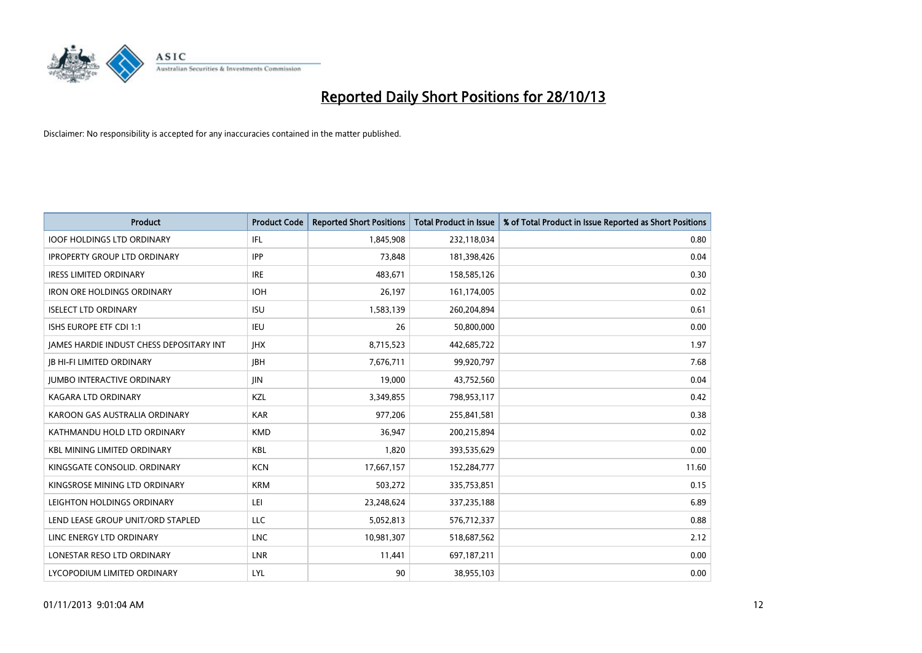

| <b>Product</b>                           | <b>Product Code</b> | <b>Reported Short Positions</b> | Total Product in Issue | % of Total Product in Issue Reported as Short Positions |
|------------------------------------------|---------------------|---------------------------------|------------------------|---------------------------------------------------------|
| <b>IOOF HOLDINGS LTD ORDINARY</b>        | IFL                 | 1,845,908                       | 232,118,034            | 0.80                                                    |
| <b>IPROPERTY GROUP LTD ORDINARY</b>      | <b>IPP</b>          | 73,848                          | 181,398,426            | 0.04                                                    |
| <b>IRESS LIMITED ORDINARY</b>            | <b>IRE</b>          | 483,671                         | 158,585,126            | 0.30                                                    |
| <b>IRON ORE HOLDINGS ORDINARY</b>        | <b>IOH</b>          | 26,197                          | 161,174,005            | 0.02                                                    |
| <b>ISELECT LTD ORDINARY</b>              | <b>ISU</b>          | 1,583,139                       | 260,204,894            | 0.61                                                    |
| <b>ISHS EUROPE ETF CDI 1:1</b>           | <b>IEU</b>          | 26                              | 50,800,000             | 0.00                                                    |
| JAMES HARDIE INDUST CHESS DEPOSITARY INT | <b>JHX</b>          | 8,715,523                       | 442,685,722            | 1.97                                                    |
| <b>JB HI-FI LIMITED ORDINARY</b>         | <b>JBH</b>          | 7,676,711                       | 99,920,797             | 7.68                                                    |
| <b>JUMBO INTERACTIVE ORDINARY</b>        | <b>JIN</b>          | 19,000                          | 43,752,560             | 0.04                                                    |
| <b>KAGARA LTD ORDINARY</b>               | <b>KZL</b>          | 3,349,855                       | 798,953,117            | 0.42                                                    |
| KAROON GAS AUSTRALIA ORDINARY            | <b>KAR</b>          | 977,206                         | 255,841,581            | 0.38                                                    |
| KATHMANDU HOLD LTD ORDINARY              | <b>KMD</b>          | 36,947                          | 200,215,894            | 0.02                                                    |
| <b>KBL MINING LIMITED ORDINARY</b>       | <b>KBL</b>          | 1,820                           | 393,535,629            | 0.00                                                    |
| KINGSGATE CONSOLID. ORDINARY             | <b>KCN</b>          | 17,667,157                      | 152,284,777            | 11.60                                                   |
| KINGSROSE MINING LTD ORDINARY            | <b>KRM</b>          | 503,272                         | 335,753,851            | 0.15                                                    |
| LEIGHTON HOLDINGS ORDINARY               | LEI                 | 23,248,624                      | 337,235,188            | 6.89                                                    |
| LEND LEASE GROUP UNIT/ORD STAPLED        | <b>LLC</b>          | 5,052,813                       | 576,712,337            | 0.88                                                    |
| LINC ENERGY LTD ORDINARY                 | <b>LNC</b>          | 10,981,307                      | 518,687,562            | 2.12                                                    |
| LONESTAR RESO LTD ORDINARY               | LNR                 | 11,441                          | 697,187,211            | 0.00                                                    |
| LYCOPODIUM LIMITED ORDINARY              | LYL                 | 90                              | 38,955,103             | 0.00                                                    |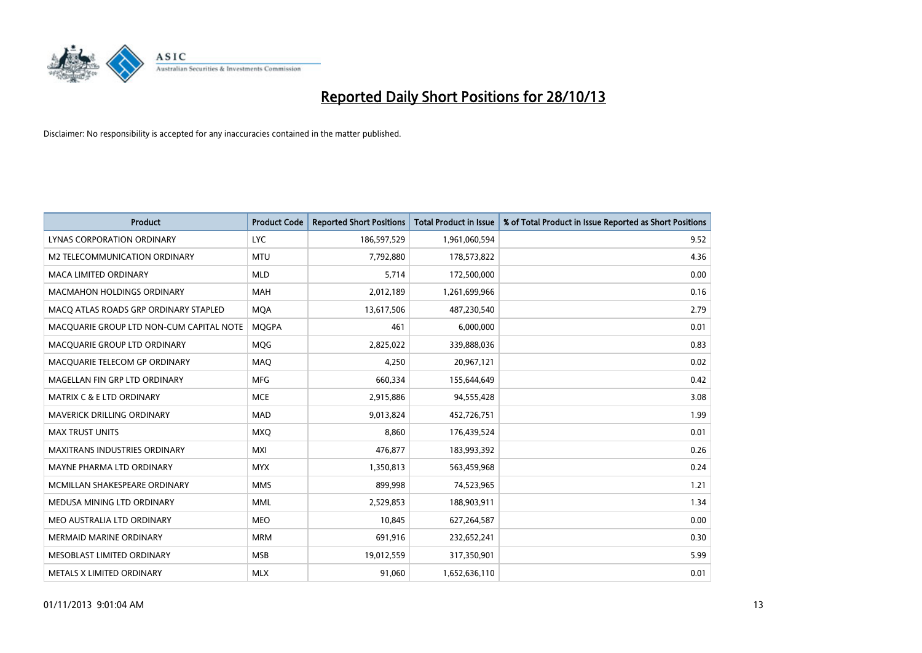

| <b>Product</b>                           | <b>Product Code</b> | <b>Reported Short Positions</b> | <b>Total Product in Issue</b> | % of Total Product in Issue Reported as Short Positions |
|------------------------------------------|---------------------|---------------------------------|-------------------------------|---------------------------------------------------------|
| LYNAS CORPORATION ORDINARY               | <b>LYC</b>          | 186,597,529                     | 1,961,060,594                 | 9.52                                                    |
| M2 TELECOMMUNICATION ORDINARY            | <b>MTU</b>          | 7,792,880                       | 178,573,822                   | 4.36                                                    |
| <b>MACA LIMITED ORDINARY</b>             | <b>MLD</b>          | 5,714                           | 172,500,000                   | 0.00                                                    |
| <b>MACMAHON HOLDINGS ORDINARY</b>        | <b>MAH</b>          | 2,012,189                       | 1,261,699,966                 | 0.16                                                    |
| MACO ATLAS ROADS GRP ORDINARY STAPLED    | <b>MOA</b>          | 13,617,506                      | 487,230,540                   | 2.79                                                    |
| MACQUARIE GROUP LTD NON-CUM CAPITAL NOTE | <b>MQGPA</b>        | 461                             | 6,000,000                     | 0.01                                                    |
| MACQUARIE GROUP LTD ORDINARY             | <b>MOG</b>          | 2,825,022                       | 339,888,036                   | 0.83                                                    |
| MACQUARIE TELECOM GP ORDINARY            | MAQ                 | 4.250                           | 20,967,121                    | 0.02                                                    |
| MAGELLAN FIN GRP LTD ORDINARY            | <b>MFG</b>          | 660,334                         | 155,644,649                   | 0.42                                                    |
| MATRIX C & E LTD ORDINARY                | <b>MCE</b>          | 2,915,886                       | 94,555,428                    | 3.08                                                    |
| MAVERICK DRILLING ORDINARY               | <b>MAD</b>          | 9,013,824                       | 452,726,751                   | 1.99                                                    |
| <b>MAX TRUST UNITS</b>                   | MXQ                 | 8.860                           | 176,439,524                   | 0.01                                                    |
| <b>MAXITRANS INDUSTRIES ORDINARY</b>     | <b>MXI</b>          | 476,877                         | 183,993,392                   | 0.26                                                    |
| MAYNE PHARMA LTD ORDINARY                | <b>MYX</b>          | 1,350,813                       | 563,459,968                   | 0.24                                                    |
| MCMILLAN SHAKESPEARE ORDINARY            | <b>MMS</b>          | 899,998                         | 74,523,965                    | 1.21                                                    |
| MEDUSA MINING LTD ORDINARY               | <b>MML</b>          | 2,529,853                       | 188,903,911                   | 1.34                                                    |
| MEO AUSTRALIA LTD ORDINARY               | <b>MEO</b>          | 10,845                          | 627,264,587                   | 0.00                                                    |
| <b>MERMAID MARINE ORDINARY</b>           | <b>MRM</b>          | 691,916                         | 232,652,241                   | 0.30                                                    |
| MESOBLAST LIMITED ORDINARY               | <b>MSB</b>          | 19,012,559                      | 317,350,901                   | 5.99                                                    |
| METALS X LIMITED ORDINARY                | <b>MLX</b>          | 91,060                          | 1,652,636,110                 | 0.01                                                    |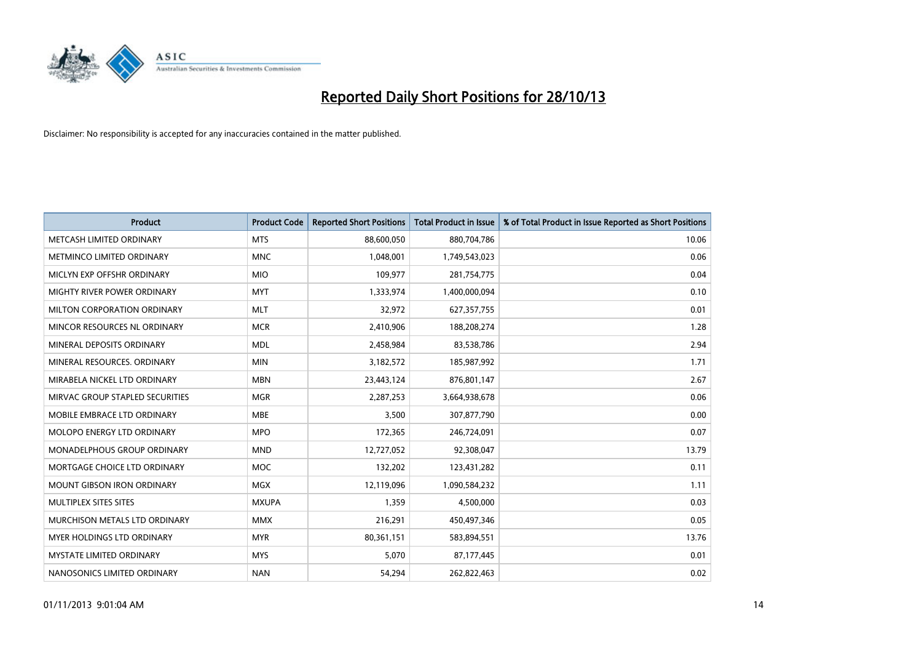

| <b>Product</b>                    | <b>Product Code</b> | <b>Reported Short Positions</b> | <b>Total Product in Issue</b> | % of Total Product in Issue Reported as Short Positions |
|-----------------------------------|---------------------|---------------------------------|-------------------------------|---------------------------------------------------------|
| METCASH LIMITED ORDINARY          | <b>MTS</b>          | 88,600,050                      | 880,704,786                   | 10.06                                                   |
| METMINCO LIMITED ORDINARY         | <b>MNC</b>          | 1,048,001                       | 1,749,543,023                 | 0.06                                                    |
| MICLYN EXP OFFSHR ORDINARY        | <b>MIO</b>          | 109,977                         | 281,754,775                   | 0.04                                                    |
| MIGHTY RIVER POWER ORDINARY       | <b>MYT</b>          | 1,333,974                       | 1,400,000,094                 | 0.10                                                    |
| MILTON CORPORATION ORDINARY       | <b>MLT</b>          | 32,972                          | 627,357,755                   | 0.01                                                    |
| MINCOR RESOURCES NL ORDINARY      | <b>MCR</b>          | 2,410,906                       | 188,208,274                   | 1.28                                                    |
| MINERAL DEPOSITS ORDINARY         | <b>MDL</b>          | 2,458,984                       | 83,538,786                    | 2.94                                                    |
| MINERAL RESOURCES, ORDINARY       | <b>MIN</b>          | 3,182,572                       | 185,987,992                   | 1.71                                                    |
| MIRABELA NICKEL LTD ORDINARY      | <b>MBN</b>          | 23,443,124                      | 876,801,147                   | 2.67                                                    |
| MIRVAC GROUP STAPLED SECURITIES   | <b>MGR</b>          | 2,287,253                       | 3,664,938,678                 | 0.06                                                    |
| MOBILE EMBRACE LTD ORDINARY       | <b>MBE</b>          | 3,500                           | 307,877,790                   | 0.00                                                    |
| MOLOPO ENERGY LTD ORDINARY        | <b>MPO</b>          | 172,365                         | 246,724,091                   | 0.07                                                    |
| MONADELPHOUS GROUP ORDINARY       | <b>MND</b>          | 12,727,052                      | 92,308,047                    | 13.79                                                   |
| MORTGAGE CHOICE LTD ORDINARY      | <b>MOC</b>          | 132,202                         | 123,431,282                   | 0.11                                                    |
| <b>MOUNT GIBSON IRON ORDINARY</b> | <b>MGX</b>          | 12,119,096                      | 1,090,584,232                 | 1.11                                                    |
| MULTIPLEX SITES SITES             | <b>MXUPA</b>        | 1,359                           | 4,500,000                     | 0.03                                                    |
| MURCHISON METALS LTD ORDINARY     | <b>MMX</b>          | 216,291                         | 450,497,346                   | 0.05                                                    |
| MYER HOLDINGS LTD ORDINARY        | <b>MYR</b>          | 80,361,151                      | 583,894,551                   | 13.76                                                   |
| <b>MYSTATE LIMITED ORDINARY</b>   | <b>MYS</b>          | 5,070                           | 87,177,445                    | 0.01                                                    |
| NANOSONICS LIMITED ORDINARY       | <b>NAN</b>          | 54,294                          | 262,822,463                   | 0.02                                                    |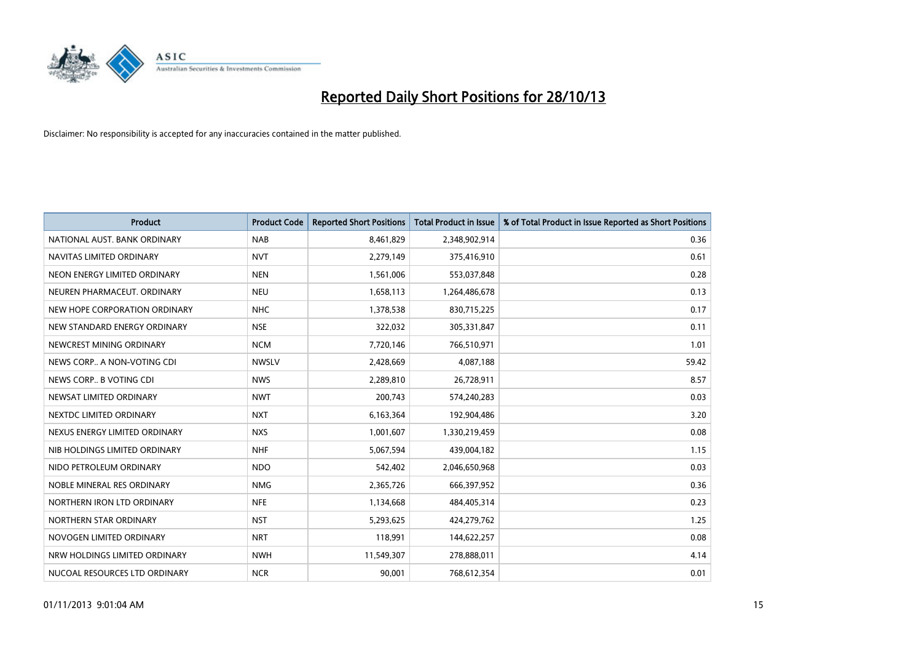

| <b>Product</b>                | <b>Product Code</b> | <b>Reported Short Positions</b> | Total Product in Issue | % of Total Product in Issue Reported as Short Positions |
|-------------------------------|---------------------|---------------------------------|------------------------|---------------------------------------------------------|
| NATIONAL AUST. BANK ORDINARY  | <b>NAB</b>          | 8,461,829                       | 2,348,902,914          | 0.36                                                    |
| NAVITAS LIMITED ORDINARY      | <b>NVT</b>          | 2,279,149                       | 375,416,910            | 0.61                                                    |
| NEON ENERGY LIMITED ORDINARY  | <b>NEN</b>          | 1,561,006                       | 553,037,848            | 0.28                                                    |
| NEUREN PHARMACEUT, ORDINARY   | <b>NEU</b>          | 1,658,113                       | 1,264,486,678          | 0.13                                                    |
| NEW HOPE CORPORATION ORDINARY | <b>NHC</b>          | 1,378,538                       | 830,715,225            | 0.17                                                    |
| NEW STANDARD ENERGY ORDINARY  | <b>NSE</b>          | 322,032                         | 305,331,847            | 0.11                                                    |
| NEWCREST MINING ORDINARY      | <b>NCM</b>          | 7,720,146                       | 766,510,971            | 1.01                                                    |
| NEWS CORP A NON-VOTING CDI    | <b>NWSLV</b>        | 2,428,669                       | 4,087,188              | 59.42                                                   |
| NEWS CORP B VOTING CDI        | <b>NWS</b>          | 2,289,810                       | 26,728,911             | 8.57                                                    |
| NEWSAT LIMITED ORDINARY       | <b>NWT</b>          | 200,743                         | 574,240,283            | 0.03                                                    |
| NEXTDC LIMITED ORDINARY       | <b>NXT</b>          | 6,163,364                       | 192,904,486            | 3.20                                                    |
| NEXUS ENERGY LIMITED ORDINARY | <b>NXS</b>          | 1,001,607                       | 1,330,219,459          | 0.08                                                    |
| NIB HOLDINGS LIMITED ORDINARY | <b>NHF</b>          | 5,067,594                       | 439,004,182            | 1.15                                                    |
| NIDO PETROLEUM ORDINARY       | <b>NDO</b>          | 542,402                         | 2,046,650,968          | 0.03                                                    |
| NOBLE MINERAL RES ORDINARY    | <b>NMG</b>          | 2,365,726                       | 666,397,952            | 0.36                                                    |
| NORTHERN IRON LTD ORDINARY    | <b>NFE</b>          | 1,134,668                       | 484,405,314            | 0.23                                                    |
| NORTHERN STAR ORDINARY        | <b>NST</b>          | 5,293,625                       | 424,279,762            | 1.25                                                    |
| NOVOGEN LIMITED ORDINARY      | <b>NRT</b>          | 118.991                         | 144,622,257            | 0.08                                                    |
| NRW HOLDINGS LIMITED ORDINARY | <b>NWH</b>          | 11,549,307                      | 278,888,011            | 4.14                                                    |
| NUCOAL RESOURCES LTD ORDINARY | <b>NCR</b>          | 90,001                          | 768,612,354            | 0.01                                                    |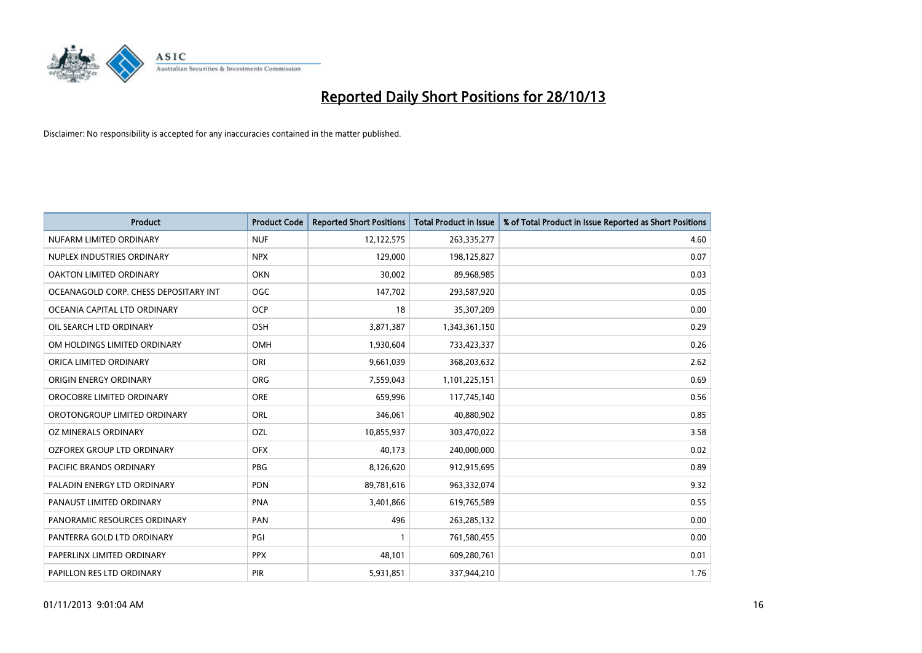

| <b>Product</b>                        | <b>Product Code</b> | <b>Reported Short Positions</b> | <b>Total Product in Issue</b> | % of Total Product in Issue Reported as Short Positions |
|---------------------------------------|---------------------|---------------------------------|-------------------------------|---------------------------------------------------------|
| NUFARM LIMITED ORDINARY               | <b>NUF</b>          | 12,122,575                      | 263,335,277                   | 4.60                                                    |
| NUPLEX INDUSTRIES ORDINARY            | <b>NPX</b>          | 129,000                         | 198,125,827                   | 0.07                                                    |
| <b>OAKTON LIMITED ORDINARY</b>        | <b>OKN</b>          | 30,002                          | 89,968,985                    | 0.03                                                    |
| OCEANAGOLD CORP. CHESS DEPOSITARY INT | OGC                 | 147,702                         | 293,587,920                   | 0.05                                                    |
| OCEANIA CAPITAL LTD ORDINARY          | <b>OCP</b>          | 18                              | 35,307,209                    | 0.00                                                    |
| OIL SEARCH LTD ORDINARY               | OSH                 | 3,871,387                       | 1,343,361,150                 | 0.29                                                    |
| OM HOLDINGS LIMITED ORDINARY          | OMH                 | 1,930,604                       | 733,423,337                   | 0.26                                                    |
| ORICA LIMITED ORDINARY                | ORI                 | 9,661,039                       | 368,203,632                   | 2.62                                                    |
| ORIGIN ENERGY ORDINARY                | <b>ORG</b>          | 7,559,043                       | 1,101,225,151                 | 0.69                                                    |
| OROCOBRE LIMITED ORDINARY             | <b>ORE</b>          | 659,996                         | 117,745,140                   | 0.56                                                    |
| OROTONGROUP LIMITED ORDINARY          | <b>ORL</b>          | 346,061                         | 40,880,902                    | 0.85                                                    |
| OZ MINERALS ORDINARY                  | OZL                 | 10,855,937                      | 303,470,022                   | 3.58                                                    |
| OZFOREX GROUP LTD ORDINARY            | <b>OFX</b>          | 40.173                          | 240,000,000                   | 0.02                                                    |
| <b>PACIFIC BRANDS ORDINARY</b>        | <b>PBG</b>          | 8,126,620                       | 912,915,695                   | 0.89                                                    |
| PALADIN ENERGY LTD ORDINARY           | <b>PDN</b>          | 89,781,616                      | 963,332,074                   | 9.32                                                    |
| PANAUST LIMITED ORDINARY              | <b>PNA</b>          | 3,401,866                       | 619,765,589                   | 0.55                                                    |
| PANORAMIC RESOURCES ORDINARY          | <b>PAN</b>          | 496                             | 263,285,132                   | 0.00                                                    |
| PANTERRA GOLD LTD ORDINARY            | PGI                 | $\mathbf{1}$                    | 761,580,455                   | 0.00                                                    |
| PAPERLINX LIMITED ORDINARY            | <b>PPX</b>          | 48,101                          | 609,280,761                   | 0.01                                                    |
| PAPILLON RES LTD ORDINARY             | PIR                 | 5,931,851                       | 337,944,210                   | 1.76                                                    |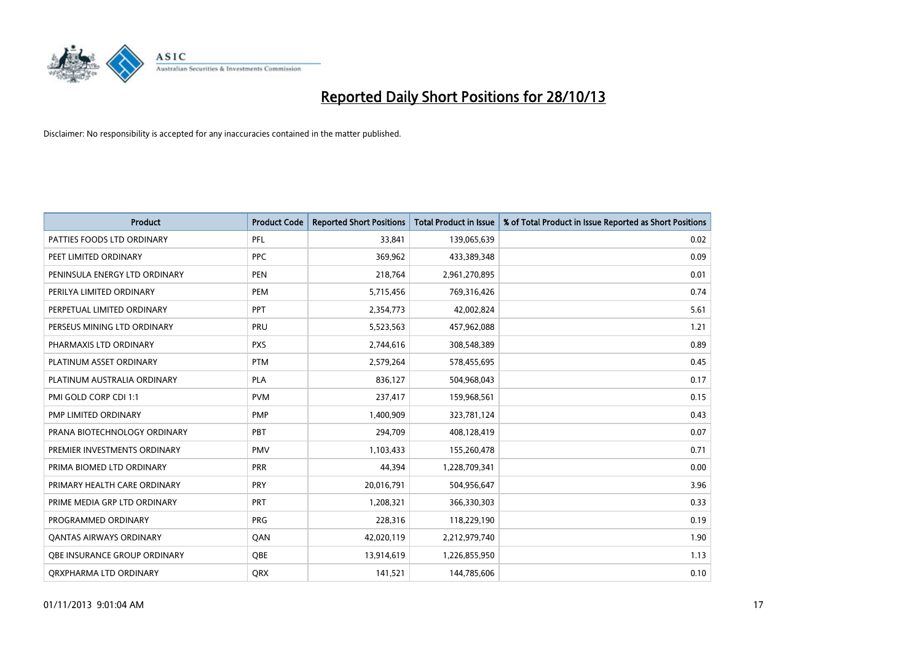

| <b>Product</b>                 | <b>Product Code</b> | <b>Reported Short Positions</b> | <b>Total Product in Issue</b> | % of Total Product in Issue Reported as Short Positions |
|--------------------------------|---------------------|---------------------------------|-------------------------------|---------------------------------------------------------|
| PATTIES FOODS LTD ORDINARY     | PFL                 | 33,841                          | 139,065,639                   | 0.02                                                    |
| PEET LIMITED ORDINARY          | <b>PPC</b>          | 369,962                         | 433,389,348                   | 0.09                                                    |
| PENINSULA ENERGY LTD ORDINARY  | <b>PEN</b>          | 218,764                         | 2,961,270,895                 | 0.01                                                    |
| PERILYA LIMITED ORDINARY       | PEM                 | 5,715,456                       | 769,316,426                   | 0.74                                                    |
| PERPETUAL LIMITED ORDINARY     | <b>PPT</b>          | 2,354,773                       | 42,002,824                    | 5.61                                                    |
| PERSEUS MINING LTD ORDINARY    | PRU                 | 5,523,563                       | 457,962,088                   | 1.21                                                    |
| PHARMAXIS LTD ORDINARY         | <b>PXS</b>          | 2,744,616                       | 308,548,389                   | 0.89                                                    |
| PLATINUM ASSET ORDINARY        | <b>PTM</b>          | 2,579,264                       | 578,455,695                   | 0.45                                                    |
| PLATINUM AUSTRALIA ORDINARY    | <b>PLA</b>          | 836,127                         | 504,968,043                   | 0.17                                                    |
| PMI GOLD CORP CDI 1:1          | <b>PVM</b>          | 237,417                         | 159,968,561                   | 0.15                                                    |
| PMP LIMITED ORDINARY           | <b>PMP</b>          | 1,400,909                       | 323,781,124                   | 0.43                                                    |
| PRANA BIOTECHNOLOGY ORDINARY   | PBT                 | 294,709                         | 408,128,419                   | 0.07                                                    |
| PREMIER INVESTMENTS ORDINARY   | <b>PMV</b>          | 1,103,433                       | 155,260,478                   | 0.71                                                    |
| PRIMA BIOMED LTD ORDINARY      | <b>PRR</b>          | 44,394                          | 1,228,709,341                 | 0.00                                                    |
| PRIMARY HEALTH CARE ORDINARY   | PRY                 | 20,016,791                      | 504,956,647                   | 3.96                                                    |
| PRIME MEDIA GRP LTD ORDINARY   | PRT                 | 1,208,321                       | 366,330,303                   | 0.33                                                    |
| PROGRAMMED ORDINARY            | <b>PRG</b>          | 228,316                         | 118,229,190                   | 0.19                                                    |
| <b>QANTAS AIRWAYS ORDINARY</b> | QAN                 | 42,020,119                      | 2,212,979,740                 | 1.90                                                    |
| OBE INSURANCE GROUP ORDINARY   | <b>OBE</b>          | 13,914,619                      | 1,226,855,950                 | 1.13                                                    |
| ORXPHARMA LTD ORDINARY         | <b>ORX</b>          | 141,521                         | 144,785,606                   | 0.10                                                    |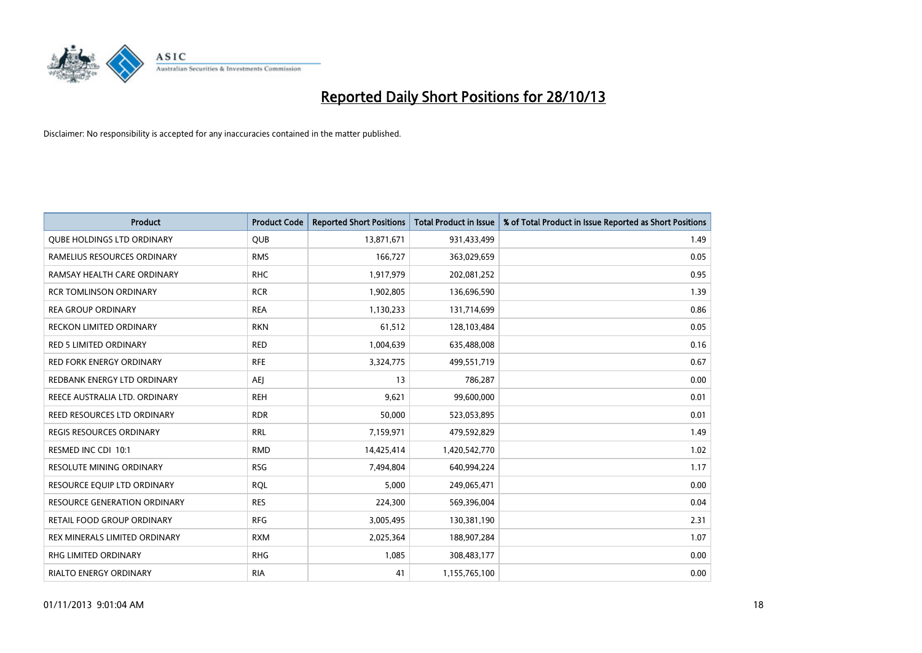

| <b>Product</b>                      | <b>Product Code</b> | <b>Reported Short Positions</b> | Total Product in Issue | % of Total Product in Issue Reported as Short Positions |
|-------------------------------------|---------------------|---------------------------------|------------------------|---------------------------------------------------------|
| <b>QUBE HOLDINGS LTD ORDINARY</b>   | QUB                 | 13,871,671                      | 931,433,499            | 1.49                                                    |
| RAMELIUS RESOURCES ORDINARY         | <b>RMS</b>          | 166,727                         | 363,029,659            | 0.05                                                    |
| RAMSAY HEALTH CARE ORDINARY         | <b>RHC</b>          | 1,917,979                       | 202,081,252            | 0.95                                                    |
| <b>RCR TOMLINSON ORDINARY</b>       | <b>RCR</b>          | 1,902,805                       | 136,696,590            | 1.39                                                    |
| <b>REA GROUP ORDINARY</b>           | <b>REA</b>          | 1,130,233                       | 131,714,699            | 0.86                                                    |
| <b>RECKON LIMITED ORDINARY</b>      | <b>RKN</b>          | 61,512                          | 128,103,484            | 0.05                                                    |
| <b>RED 5 LIMITED ORDINARY</b>       | <b>RED</b>          | 1,004,639                       | 635,488,008            | 0.16                                                    |
| <b>RED FORK ENERGY ORDINARY</b>     | <b>RFE</b>          | 3,324,775                       | 499,551,719            | 0.67                                                    |
| REDBANK ENERGY LTD ORDINARY         | <b>AEI</b>          | 13                              | 786,287                | 0.00                                                    |
| REECE AUSTRALIA LTD. ORDINARY       | <b>REH</b>          | 9,621                           | 99,600,000             | 0.01                                                    |
| REED RESOURCES LTD ORDINARY         | <b>RDR</b>          | 50,000                          | 523,053,895            | 0.01                                                    |
| <b>REGIS RESOURCES ORDINARY</b>     | <b>RRL</b>          | 7,159,971                       | 479,592,829            | 1.49                                                    |
| RESMED INC CDI 10:1                 | <b>RMD</b>          | 14,425,414                      | 1,420,542,770          | 1.02                                                    |
| <b>RESOLUTE MINING ORDINARY</b>     | <b>RSG</b>          | 7,494,804                       | 640,994,224            | 1.17                                                    |
| RESOURCE EQUIP LTD ORDINARY         | <b>RQL</b>          | 5,000                           | 249,065,471            | 0.00                                                    |
| <b>RESOURCE GENERATION ORDINARY</b> | <b>RES</b>          | 224,300                         | 569,396,004            | 0.04                                                    |
| RETAIL FOOD GROUP ORDINARY          | <b>RFG</b>          | 3,005,495                       | 130,381,190            | 2.31                                                    |
| REX MINERALS LIMITED ORDINARY       | <b>RXM</b>          | 2,025,364                       | 188,907,284            | 1.07                                                    |
| <b>RHG LIMITED ORDINARY</b>         | <b>RHG</b>          | 1,085                           | 308,483,177            | 0.00                                                    |
| RIALTO ENERGY ORDINARY              | <b>RIA</b>          | 41                              | 1,155,765,100          | 0.00                                                    |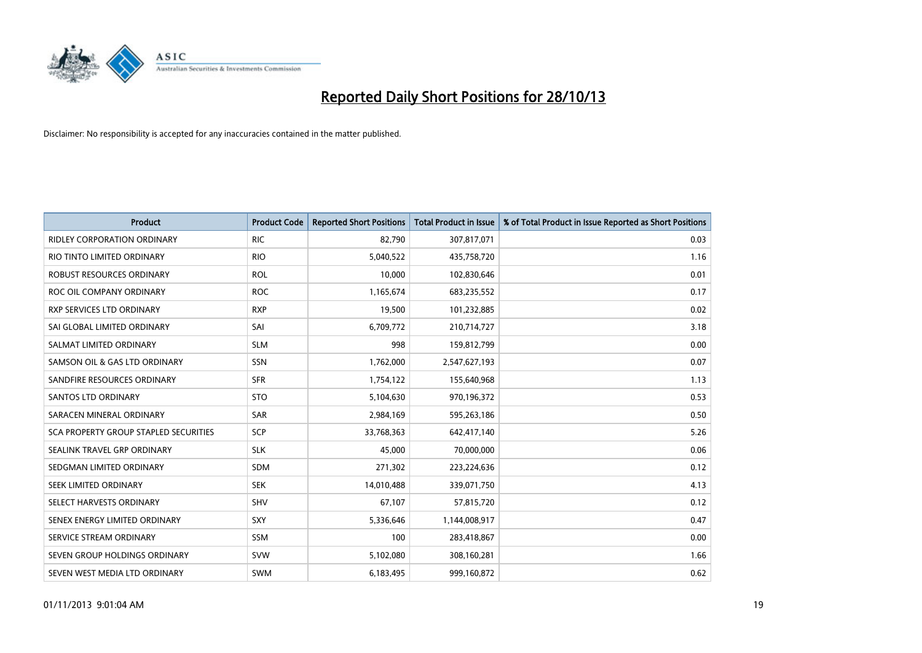

| <b>Product</b>                        | <b>Product Code</b> | <b>Reported Short Positions</b> | <b>Total Product in Issue</b> | % of Total Product in Issue Reported as Short Positions |
|---------------------------------------|---------------------|---------------------------------|-------------------------------|---------------------------------------------------------|
| <b>RIDLEY CORPORATION ORDINARY</b>    | <b>RIC</b>          | 82,790                          | 307,817,071                   | 0.03                                                    |
| RIO TINTO LIMITED ORDINARY            | <b>RIO</b>          | 5,040,522                       | 435,758,720                   | 1.16                                                    |
| <b>ROBUST RESOURCES ORDINARY</b>      | <b>ROL</b>          | 10,000                          | 102,830,646                   | 0.01                                                    |
| ROC OIL COMPANY ORDINARY              | <b>ROC</b>          | 1,165,674                       | 683,235,552                   | 0.17                                                    |
| <b>RXP SERVICES LTD ORDINARY</b>      | <b>RXP</b>          | 19,500                          | 101,232,885                   | 0.02                                                    |
| SAI GLOBAL LIMITED ORDINARY           | SAI                 | 6,709,772                       | 210,714,727                   | 3.18                                                    |
| SALMAT LIMITED ORDINARY               | <b>SLM</b>          | 998                             | 159,812,799                   | 0.00                                                    |
| SAMSON OIL & GAS LTD ORDINARY         | <b>SSN</b>          | 1,762,000                       | 2,547,627,193                 | 0.07                                                    |
| SANDFIRE RESOURCES ORDINARY           | <b>SFR</b>          | 1,754,122                       | 155,640,968                   | 1.13                                                    |
| SANTOS LTD ORDINARY                   | <b>STO</b>          | 5,104,630                       | 970,196,372                   | 0.53                                                    |
| SARACEN MINERAL ORDINARY              | SAR                 | 2,984,169                       | 595,263,186                   | 0.50                                                    |
| SCA PROPERTY GROUP STAPLED SECURITIES | <b>SCP</b>          | 33,768,363                      | 642,417,140                   | 5.26                                                    |
| SEALINK TRAVEL GRP ORDINARY           | <b>SLK</b>          | 45,000                          | 70,000,000                    | 0.06                                                    |
| SEDGMAN LIMITED ORDINARY              | <b>SDM</b>          | 271,302                         | 223,224,636                   | 0.12                                                    |
| SEEK LIMITED ORDINARY                 | <b>SEK</b>          | 14,010,488                      | 339,071,750                   | 4.13                                                    |
| SELECT HARVESTS ORDINARY              | <b>SHV</b>          | 67,107                          | 57,815,720                    | 0.12                                                    |
| SENEX ENERGY LIMITED ORDINARY         | SXY                 | 5,336,646                       | 1,144,008,917                 | 0.47                                                    |
| SERVICE STREAM ORDINARY               | <b>SSM</b>          | 100                             | 283,418,867                   | 0.00                                                    |
| SEVEN GROUP HOLDINGS ORDINARY         | <b>SVW</b>          | 5,102,080                       | 308,160,281                   | 1.66                                                    |
| SEVEN WEST MEDIA LTD ORDINARY         | <b>SWM</b>          | 6,183,495                       | 999,160,872                   | 0.62                                                    |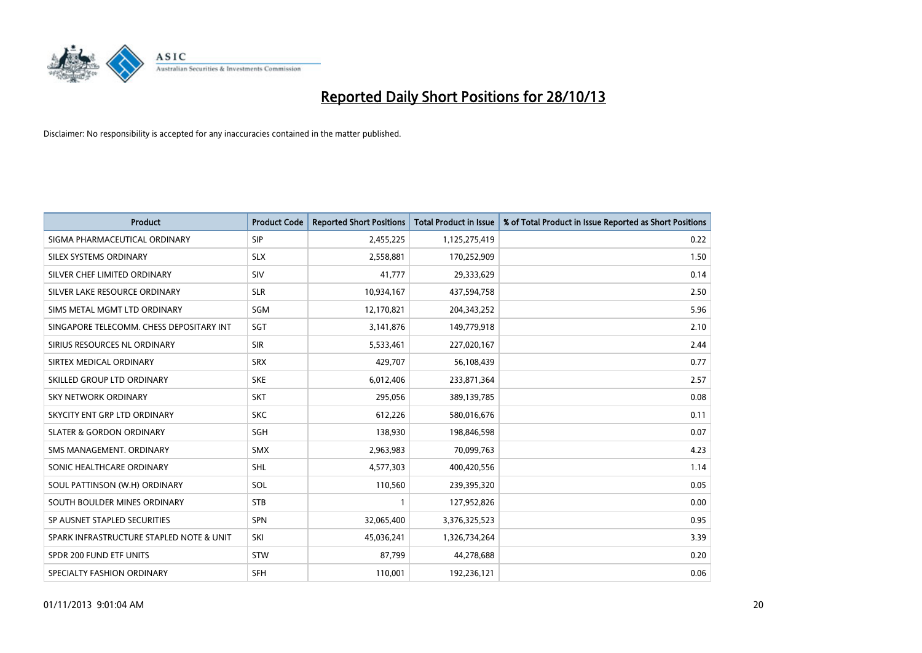

| Product                                  | <b>Product Code</b> | <b>Reported Short Positions</b> | <b>Total Product in Issue</b> | % of Total Product in Issue Reported as Short Positions |
|------------------------------------------|---------------------|---------------------------------|-------------------------------|---------------------------------------------------------|
| SIGMA PHARMACEUTICAL ORDINARY            | <b>SIP</b>          | 2,455,225                       | 1,125,275,419                 | 0.22                                                    |
| SILEX SYSTEMS ORDINARY                   | <b>SLX</b>          | 2,558,881                       | 170,252,909                   | 1.50                                                    |
| SILVER CHEF LIMITED ORDINARY             | SIV                 | 41,777                          | 29,333,629                    | 0.14                                                    |
| SILVER LAKE RESOURCE ORDINARY            | <b>SLR</b>          | 10,934,167                      | 437,594,758                   | 2.50                                                    |
| SIMS METAL MGMT LTD ORDINARY             | SGM                 | 12,170,821                      | 204,343,252                   | 5.96                                                    |
| SINGAPORE TELECOMM. CHESS DEPOSITARY INT | SGT                 | 3,141,876                       | 149,779,918                   | 2.10                                                    |
| SIRIUS RESOURCES NL ORDINARY             | <b>SIR</b>          | 5,533,461                       | 227,020,167                   | 2.44                                                    |
| SIRTEX MEDICAL ORDINARY                  | <b>SRX</b>          | 429,707                         | 56,108,439                    | 0.77                                                    |
| SKILLED GROUP LTD ORDINARY               | <b>SKE</b>          | 6,012,406                       | 233,871,364                   | 2.57                                                    |
| SKY NETWORK ORDINARY                     | <b>SKT</b>          | 295,056                         | 389,139,785                   | 0.08                                                    |
| SKYCITY ENT GRP LTD ORDINARY             | <b>SKC</b>          | 612,226                         | 580,016,676                   | 0.11                                                    |
| <b>SLATER &amp; GORDON ORDINARY</b>      | <b>SGH</b>          | 138.930                         | 198,846,598                   | 0.07                                                    |
| SMS MANAGEMENT, ORDINARY                 | <b>SMX</b>          | 2,963,983                       | 70,099,763                    | 4.23                                                    |
| SONIC HEALTHCARE ORDINARY                | SHL                 | 4,577,303                       | 400,420,556                   | 1.14                                                    |
| SOUL PATTINSON (W.H) ORDINARY            | SOL                 | 110,560                         | 239,395,320                   | 0.05                                                    |
| SOUTH BOULDER MINES ORDINARY             | <b>STB</b>          | $\mathbf{1}$                    | 127,952,826                   | 0.00                                                    |
| SP AUSNET STAPLED SECURITIES             | SPN                 | 32,065,400                      | 3,376,325,523                 | 0.95                                                    |
| SPARK INFRASTRUCTURE STAPLED NOTE & UNIT | SKI                 | 45,036,241                      | 1,326,734,264                 | 3.39                                                    |
| SPDR 200 FUND ETF UNITS                  | STW                 | 87,799                          | 44,278,688                    | 0.20                                                    |
| SPECIALTY FASHION ORDINARY               | <b>SFH</b>          | 110,001                         | 192,236,121                   | 0.06                                                    |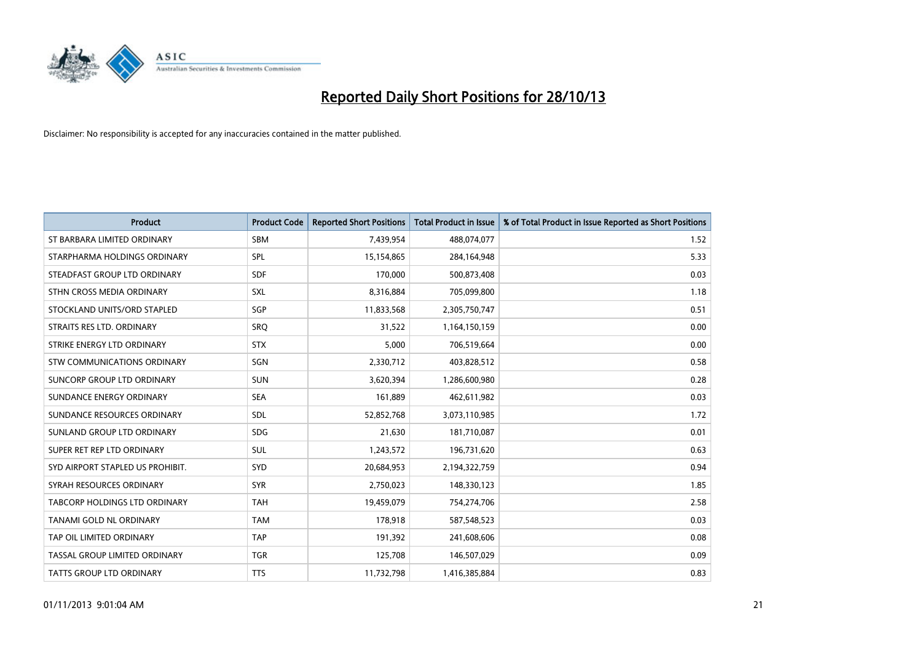

| <b>Product</b>                       | <b>Product Code</b> | <b>Reported Short Positions</b> | <b>Total Product in Issue</b> | % of Total Product in Issue Reported as Short Positions |
|--------------------------------------|---------------------|---------------------------------|-------------------------------|---------------------------------------------------------|
| ST BARBARA LIMITED ORDINARY          | <b>SBM</b>          | 7,439,954                       | 488,074,077                   | 1.52                                                    |
| STARPHARMA HOLDINGS ORDINARY         | SPL                 | 15,154,865                      | 284,164,948                   | 5.33                                                    |
| STEADFAST GROUP LTD ORDINARY         | <b>SDF</b>          | 170,000                         | 500,873,408                   | 0.03                                                    |
| STHN CROSS MEDIA ORDINARY            | SXL                 | 8,316,884                       | 705,099,800                   | 1.18                                                    |
| STOCKLAND UNITS/ORD STAPLED          | SGP                 | 11,833,568                      | 2,305,750,747                 | 0.51                                                    |
| STRAITS RES LTD. ORDINARY            | SRQ                 | 31,522                          | 1,164,150,159                 | 0.00                                                    |
| STRIKE ENERGY LTD ORDINARY           | <b>STX</b>          | 5,000                           | 706,519,664                   | 0.00                                                    |
| STW COMMUNICATIONS ORDINARY          | SGN                 | 2,330,712                       | 403,828,512                   | 0.58                                                    |
| SUNCORP GROUP LTD ORDINARY           | <b>SUN</b>          | 3,620,394                       | 1,286,600,980                 | 0.28                                                    |
| SUNDANCE ENERGY ORDINARY             | <b>SEA</b>          | 161,889                         | 462,611,982                   | 0.03                                                    |
| SUNDANCE RESOURCES ORDINARY          | SDL                 | 52,852,768                      | 3,073,110,985                 | 1.72                                                    |
| SUNLAND GROUP LTD ORDINARY           | <b>SDG</b>          | 21,630                          | 181,710,087                   | 0.01                                                    |
| SUPER RET REP LTD ORDINARY           | SUL                 | 1,243,572                       | 196,731,620                   | 0.63                                                    |
| SYD AIRPORT STAPLED US PROHIBIT.     | <b>SYD</b>          | 20,684,953                      | 2,194,322,759                 | 0.94                                                    |
| SYRAH RESOURCES ORDINARY             | <b>SYR</b>          | 2,750,023                       | 148,330,123                   | 1.85                                                    |
| <b>TABCORP HOLDINGS LTD ORDINARY</b> | <b>TAH</b>          | 19,459,079                      | 754,274,706                   | 2.58                                                    |
| TANAMI GOLD NL ORDINARY              | <b>TAM</b>          | 178,918                         | 587,548,523                   | 0.03                                                    |
| TAP OIL LIMITED ORDINARY             | <b>TAP</b>          | 191,392                         | 241,608,606                   | 0.08                                                    |
| TASSAL GROUP LIMITED ORDINARY        | <b>TGR</b>          | 125,708                         | 146,507,029                   | 0.09                                                    |
| TATTS GROUP LTD ORDINARY             | <b>TTS</b>          | 11,732,798                      | 1,416,385,884                 | 0.83                                                    |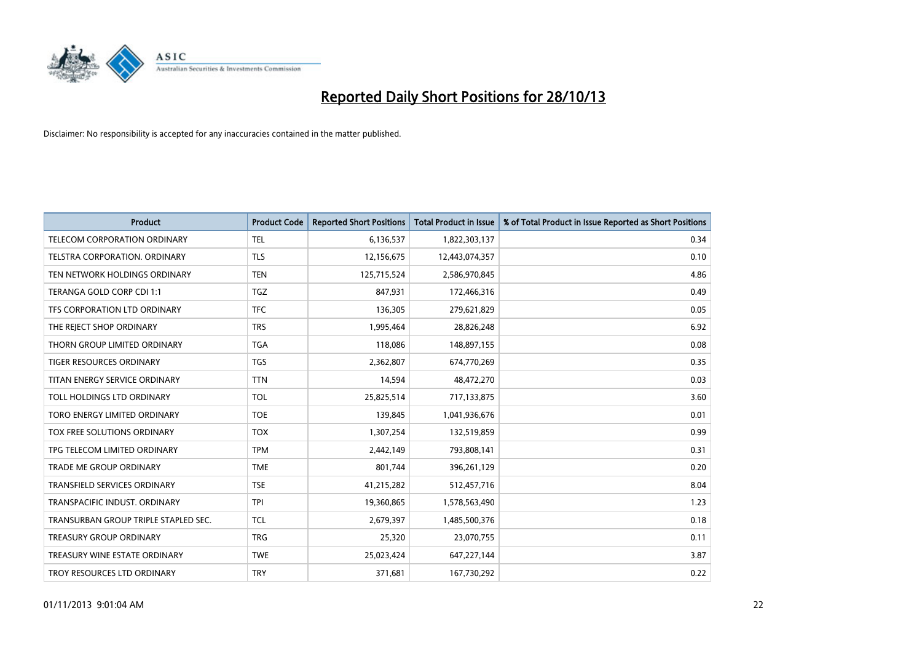

| <b>Product</b>                       | <b>Product Code</b> | <b>Reported Short Positions</b> | Total Product in Issue | % of Total Product in Issue Reported as Short Positions |
|--------------------------------------|---------------------|---------------------------------|------------------------|---------------------------------------------------------|
| TELECOM CORPORATION ORDINARY         | TEL                 | 6,136,537                       | 1,822,303,137          | 0.34                                                    |
| TELSTRA CORPORATION. ORDINARY        | <b>TLS</b>          | 12,156,675                      | 12,443,074,357         | 0.10                                                    |
| TEN NETWORK HOLDINGS ORDINARY        | <b>TEN</b>          | 125,715,524                     | 2,586,970,845          | 4.86                                                    |
| TERANGA GOLD CORP CDI 1:1            | <b>TGZ</b>          | 847,931                         | 172,466,316            | 0.49                                                    |
| TFS CORPORATION LTD ORDINARY         | <b>TFC</b>          | 136,305                         | 279,621,829            | 0.05                                                    |
| THE REJECT SHOP ORDINARY             | <b>TRS</b>          | 1,995,464                       | 28,826,248             | 6.92                                                    |
| THORN GROUP LIMITED ORDINARY         | <b>TGA</b>          | 118,086                         | 148,897,155            | 0.08                                                    |
| <b>TIGER RESOURCES ORDINARY</b>      | <b>TGS</b>          | 2,362,807                       | 674,770,269            | 0.35                                                    |
| TITAN ENERGY SERVICE ORDINARY        | <b>TTN</b>          | 14,594                          | 48,472,270             | 0.03                                                    |
| TOLL HOLDINGS LTD ORDINARY           | <b>TOL</b>          | 25,825,514                      | 717,133,875            | 3.60                                                    |
| TORO ENERGY LIMITED ORDINARY         | <b>TOE</b>          | 139,845                         | 1,041,936,676          | 0.01                                                    |
| TOX FREE SOLUTIONS ORDINARY          | <b>TOX</b>          | 1,307,254                       | 132,519,859            | 0.99                                                    |
| TPG TELECOM LIMITED ORDINARY         | <b>TPM</b>          | 2,442,149                       | 793,808,141            | 0.31                                                    |
| <b>TRADE ME GROUP ORDINARY</b>       | <b>TME</b>          | 801,744                         | 396,261,129            | 0.20                                                    |
| TRANSFIELD SERVICES ORDINARY         | <b>TSE</b>          | 41,215,282                      | 512,457,716            | 8.04                                                    |
| TRANSPACIFIC INDUST, ORDINARY        | <b>TPI</b>          | 19,360,865                      | 1,578,563,490          | 1.23                                                    |
| TRANSURBAN GROUP TRIPLE STAPLED SEC. | <b>TCL</b>          | 2,679,397                       | 1,485,500,376          | 0.18                                                    |
| <b>TREASURY GROUP ORDINARY</b>       | <b>TRG</b>          | 25,320                          | 23,070,755             | 0.11                                                    |
| TREASURY WINE ESTATE ORDINARY        | <b>TWE</b>          | 25,023,424                      | 647,227,144            | 3.87                                                    |
| TROY RESOURCES LTD ORDINARY          | <b>TRY</b>          | 371,681                         | 167,730,292            | 0.22                                                    |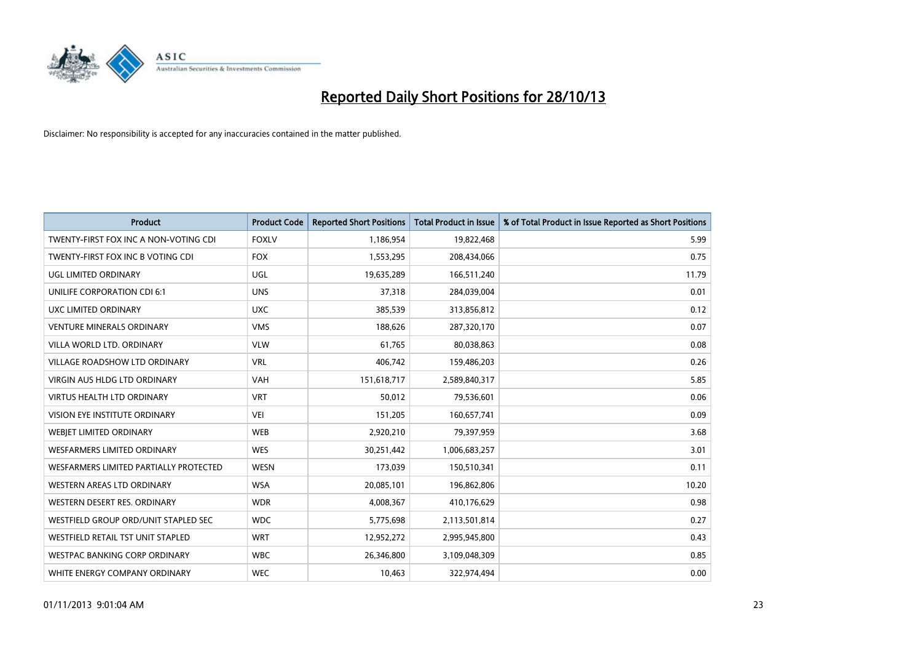

| <b>Product</b>                         | <b>Product Code</b> | <b>Reported Short Positions</b> | <b>Total Product in Issue</b> | % of Total Product in Issue Reported as Short Positions |
|----------------------------------------|---------------------|---------------------------------|-------------------------------|---------------------------------------------------------|
| TWENTY-FIRST FOX INC A NON-VOTING CDI  | <b>FOXLV</b>        | 1,186,954                       | 19,822,468                    | 5.99                                                    |
| TWENTY-FIRST FOX INC B VOTING CDI      | <b>FOX</b>          | 1,553,295                       | 208,434,066                   | 0.75                                                    |
| UGL LIMITED ORDINARY                   | <b>UGL</b>          | 19,635,289                      | 166,511,240                   | 11.79                                                   |
| UNILIFE CORPORATION CDI 6:1            | <b>UNS</b>          | 37,318                          | 284,039,004                   | 0.01                                                    |
| UXC LIMITED ORDINARY                   | <b>UXC</b>          | 385,539                         | 313,856,812                   | 0.12                                                    |
| <b>VENTURE MINERALS ORDINARY</b>       | <b>VMS</b>          | 188,626                         | 287,320,170                   | 0.07                                                    |
| VILLA WORLD LTD. ORDINARY              | <b>VLW</b>          | 61.765                          | 80,038,863                    | 0.08                                                    |
| <b>VILLAGE ROADSHOW LTD ORDINARY</b>   | <b>VRL</b>          | 406,742                         | 159,486,203                   | 0.26                                                    |
| VIRGIN AUS HLDG LTD ORDINARY           | <b>VAH</b>          | 151,618,717                     | 2,589,840,317                 | 5.85                                                    |
| <b>VIRTUS HEALTH LTD ORDINARY</b>      | <b>VRT</b>          | 50,012                          | 79,536,601                    | 0.06                                                    |
| VISION EYE INSTITUTE ORDINARY          | VEI                 | 151,205                         | 160,657,741                   | 0.09                                                    |
| WEBIET LIMITED ORDINARY                | <b>WEB</b>          | 2,920,210                       | 79,397,959                    | 3.68                                                    |
| <b>WESFARMERS LIMITED ORDINARY</b>     | <b>WES</b>          | 30,251,442                      | 1,006,683,257                 | 3.01                                                    |
| WESFARMERS LIMITED PARTIALLY PROTECTED | <b>WESN</b>         | 173,039                         | 150,510,341                   | 0.11                                                    |
| WESTERN AREAS LTD ORDINARY             | <b>WSA</b>          | 20,085,101                      | 196,862,806                   | 10.20                                                   |
| WESTERN DESERT RES. ORDINARY           | <b>WDR</b>          | 4,008,367                       | 410,176,629                   | 0.98                                                    |
| WESTFIELD GROUP ORD/UNIT STAPLED SEC   | <b>WDC</b>          | 5,775,698                       | 2,113,501,814                 | 0.27                                                    |
| WESTFIELD RETAIL TST UNIT STAPLED      | <b>WRT</b>          | 12,952,272                      | 2,995,945,800                 | 0.43                                                    |
| <b>WESTPAC BANKING CORP ORDINARY</b>   | <b>WBC</b>          | 26,346,800                      | 3,109,048,309                 | 0.85                                                    |
| WHITE ENERGY COMPANY ORDINARY          | <b>WEC</b>          | 10,463                          | 322,974,494                   | 0.00                                                    |